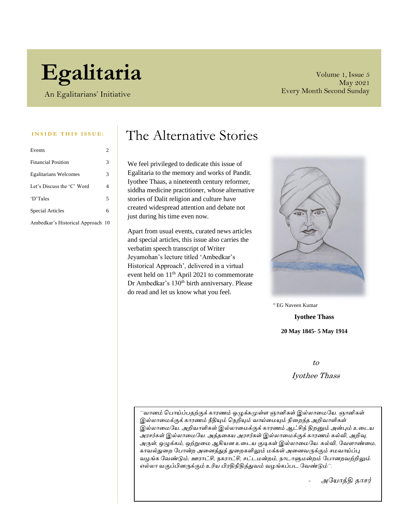# **Egalitaria**

An Egalitarians' Initiative

Volume 1, Issue 5 May 2021 Every Month Second Sunday

| Events                            | $\overline{c}$ |
|-----------------------------------|----------------|
| <b>Financial Position</b>         | 3              |
| <b>Egalitarians Welcomes</b>      | 3              |
| Let's Discuss the 'C' Word        | 4              |
| 'D'Tales                          | 5              |
| <b>Special Articles</b>           | 6              |
| Ambedkar's Historical Approach 10 |                |

### INSIDE THIS ISSUE: The Alternative Stories

We feel privileged to dedicate this issue of Egalitaria to the memory and works of Pandit. Iyothee Thaas, a nineteenth century reformer, siddha medicine practitioner, whose alternative stories of Dalit religion and culture have created widespread attention and debate not just during his time even now.

Apart from usual events, curated news articles and special articles, this issue also carries the verbatim speech transcript of Writer Jeyamohan's lecture titled 'Ambedkar's Historical Approach', delivered in a virtual event held on 11<sup>th</sup> April 2021 to commemorate Dr Ambedkar's 130<sup>th</sup> birth anniversary. Please do read and let us know what you feel.



© EG Naveen Kumar

**Iyothee Thass 20 May 1845- 5 May 1914**

to

Iyothee Thass

*''வானம் பபாய்ப்பதற்குக் காரணம் ஒழுக்கமுள்ள ஞானிகள் இல்லாமையே. ஞானிகள் இல்லாமைக்குக் காரணம் நீதியும் பெறியும் வாய்மையும் நிமைந்த அறிவாளிகள் இல்லாமையே. அறிவாளிகள் இல்லாமைக்குக் காரணம் ஆட்சித் திைனும் அன்பும் உமைே அரசர்கள் இல்லாமையே. அத்தமகே அரசர்கள் இல்லாமைக்குக் காரணம் கல்வி, அறிவு, அருள், ஒழுக்கம், ஒற்றுமை ஆகிேன உமைே குடிகள் இல்லாமையே. கல்வி, யவளாண்மை, காவல்துமை யபான்ை அமனத்துத் துமைகளிலும் ைக்கள் அமனவருக்கும் சைவாய்ப்பு வழங்க யவண்டும்; ஊராட்சி, ெகராட்சி, சட்ைைன்ைம், ொைாளுைன்ைம் யபானைவற்றிலும் எல்லா வகுப்பினருக்கும் உரிே பிரதிநிதித்துவம் வழங்கப்பை யவண்டும்''.*

*- அயோத்தி தாசர்*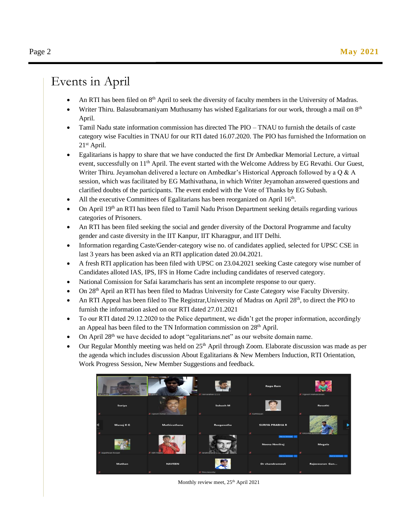### Events in April

- An RTI has been filed on 8<sup>th</sup> April to seek the diversity of faculty members in the University of Madras.
- Writer Thiru. Balasubramaniyam Muthusamy has wished Egalitarians for our work, through a mail on 8<sup>th</sup> April.
- Tamil Nadu state information commission has directed The PIO TNAU to furnish the details of caste category wise Faculties in TNAU for our RTI dated 16.07.2020. The PIO has furnished the Information on 21st April.
- Egalitarians is happy to share that we have conducted the first Dr Ambedkar Memorial Lecture, a virtual event, successfully on  $11<sup>th</sup>$  April. The event started with the Welcome Address by EG Revathi. Our Guest, Writer Thiru. Jeyamohan delivered a lecture on Ambedkar's Historical Approach followed by a Q & A session, which was facilitated by EG Mathivathana, in which Writer Jeyamohan answered questions and clarified doubts of the participants. The event ended with the Vote of Thanks by EG Subash.
- All the executive Committees of Egalitarians has been reorganized on April 16<sup>th</sup>.
- On April 19<sup>th</sup> an RTI has been filed to Tamil Nadu Prison Department seeking details regarding various categories of Prisoners.
- An RTI has been filed seeking the social and gender diversity of the Doctoral Programme and faculty gender and caste diversity in the IIT Kanpur, IIT Kharagpur, and IIT Delhi.
- Information regarding Caste/Gender-category wise no. of candidates applied, selected for UPSC CSE in last 3 years has been asked via an RTI application dated 20.04.2021.
- A fresh RTI application has been filed with UPSC on 23.04.2021 seeking Caste category wise number of Candidates alloted IAS, IPS, IFS in Home Cadre including candidates of reserved category.
- National Comission for Safai karamcharis has sent an incomplete response to our query.
- On 28th April an RTI has been filed to Madras University for Caste Category wise Faculty Diversity.
- An RTI Appeal has been filed to The Registrar, University of Madras on April 28<sup>th</sup>, to direct the PIO to furnish the information asked on our RTI dated 27.01.2021
- To our RTI dated 29.12.2020 to the Police department, we didn't get the proper information, accordingly an Appeal has been filed to the TN Information commission on 28<sup>th</sup> April.
- On April 28<sup>th</sup> we have decided to adopt "egalitarians.net" as our website domain name.
- Our Regular Monthly meeting was held on 25<sup>th</sup> April through Zoom. Elaborate discussion was made as per the agenda which includes discussion About Egalitarians & New Members Induction, RTI Orientation, Work Progress Session, New Member Suggestions and feedback.



Monthly review meet, 25<sup>th</sup> April 2021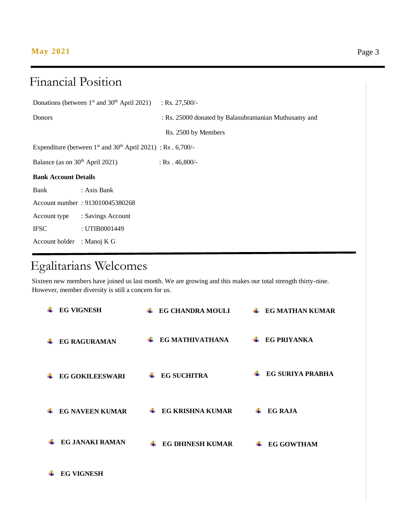### **May 2021** Page 3

### Financial Position

|                                                                  | Donations (between $1st$ and $30th$ April 2021) | : Rs. $27,500/-$                                     |  |  |
|------------------------------------------------------------------|-------------------------------------------------|------------------------------------------------------|--|--|
| Donors                                                           |                                                 | : Rs. 25000 donated by Balasubramanian Muthusamy and |  |  |
|                                                                  |                                                 | Rs. 2500 by Members                                  |  |  |
| Expenditure (between $1st$ and $30th$ April 2021) : Rs . 6,700/- |                                                 |                                                      |  |  |
| Balance (as on 30 <sup>th</sup> April 2021)                      |                                                 | : Rs $.46,800/-$                                     |  |  |
| <b>Bank Account Details</b>                                      |                                                 |                                                      |  |  |
| Bank                                                             | : Axis Bank                                     |                                                      |  |  |
|                                                                  | Account number: 913010045380268                 |                                                      |  |  |
| Account type                                                     | : Savings Account                               |                                                      |  |  |
| <b>IFSC</b>                                                      | : UTIB0001449                                   |                                                      |  |  |
| Account holder : Manoj K G                                       |                                                 |                                                      |  |  |

## Egalitarians Welcomes

Mobile number : 8851583097

Sixteen new members have joined us last month. We are growing and this makes our total strength thirty-nine. However, member diversity is still a concern for us.

| <b>EG VIGNESH</b>      | <b>EG CHANDRA MOULI</b><br>÷. | <b>EG MATHAN KUMAR</b> |
|------------------------|-------------------------------|------------------------|
| <b>EG RAGURAMAN</b>    | EG MATHIVATHANA               | <b>EG PRIYANKA</b>     |
| <b>EG GOKILEESWARI</b> | <b>EG SUCHITRA</b>            | EG SURIYA PRABHA       |
| <b>EG NAVEEN KUMAR</b> | <b>EG KRISHNA KUMAR</b>       | EG RAJA                |
| <b>EG JANAKI RAMAN</b> | <b>EG DHINESH KUMAR</b>       | <b>EG GOWTHAM</b>      |
| <b>EG VIGNESH</b>      |                               |                        |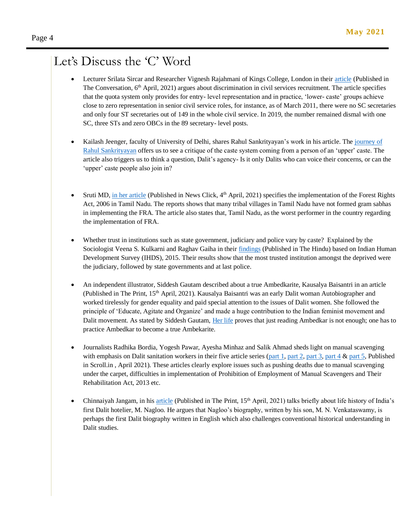### Let's Discuss the 'C' Word

- Lecturer Srilata Sircar and Researcher Vignesh Rajahmani of Kings College, London in their [article](https://theconversation.com/caste-in-india-blind-recruitment-for-the-civil-service-wont-fix-the-system-157519) (Published in The Conversation,  $6<sup>th</sup>$  April, 2021) argues about discrimination in civil services recruitment. The article specifies that the quota system only provides for entry- level representation and in practice, 'lower- caste' groups achieve close to zero representation in senior civil service roles, for instance, as of March 2011, there were no SC secretaries and only four ST secretaries out of 149 in the whole civil service. In 2019, the number remained dismal with one SC, three STs and zero OBCs in the 89 secretary- level posts.
- Kailash Jeenger, faculty of University of Delhi, shares Rahul Sankrityayan's work in his article. The [journey of](https://m.thewire.in/article/caste/rahul-sankrityayan-on-caste-ambedkar-dalit-agency-upper-caste/amp)  [Rahul Sankrityayan](https://m.thewire.in/article/caste/rahul-sankrityayan-on-caste-ambedkar-dalit-agency-upper-caste/amp) offers us to see a critique of the caste system coming from a person of an 'upper' caste. The article also triggers us to think a question, Dalit's agency- Is it only Dalits who can voice their concerns, or can the 'upper' caste people also join in?
- Sruti MD, [in her article](https://www.newsclick.in/fra-implementation-tamil-nadu-emerges-worst-performer) (Published in News Click, 4th April, 2021) specifies the implementation of the Forest Rights Act, 2006 in Tamil Nadu. The reports shows that many tribal villages in Tamil Nadu have not formed gram sabhas in implementing the FRA. The article also states that, Tamil Nadu, as the worst performer in the country regarding the implementation of FRA.
- Whether trust in institutions such as state government, judiciary and police vary by caste? Explained by the Sociologist Veena S. Kulkarni and Raghav Gaiha in thei[r findings](https://www.thehindu.com/opinion/lead/institutions-caste-and-the-vital-cog-of-trust/article34320597.ece) (Published in The Hindu) based on Indian Human Development Survey (IHDS), 2015. Their results show that the most trusted institution amongst the deprived were the judiciary, followed by state governments and at last police.
- An independent illustrator, Siddesh Gautam described about a true Ambedkarite, Kausalya Baisantri in an article (Published in The Print, 15<sup>th</sup> April, 2021). Kausalya Baisantri was an early Dalit woman Autobiographer and worked tirelessly for gender equality and paid special attention to the issues of Dalit women. She followed the principle of 'Educate, Agitate and Organize' and made a huge contribution to the Indian feminist movement and Dalit movement. As stated by Siddesh Gautam, [Her life](https://theprint.in/opinion/kausalya-baisantri-early-dalit-woman-autobiographer-fought-double-curse/640191/?utm_source=TPWeb&utm_medium=Telegram&utm_campaign=TappChannel) proves that just reading Ambedkar is not enough; one has to practice Ambedkar to become a true Ambekarite.
- Journalists Radhika Bordia, Yogesh Pawar, Ayesha Minhaz and Salik Ahmad sheds light on manual scavenging with emphasis on Dalit sanitation workers in their five article series [\(part 1,](https://scroll.in/article/992294/manual-scavenging-has-killed-400-indians-since-it-was-banned-and-yet-nobody-has-been-convicted) [part 2,](https://scroll.in/article/992348/why-no-one-is-ever-held-responsible-for-the-deaths-of-dalit-sanitation-workers) [part 3,](https://scroll.in/article/992483/delhi-is-trying-to-end-manual-scavenging-by-using-sewer-cleaning-machines-are-its-efforts-working) [part 4](https://scroll.in/article/992666/three-years-after-hyderabad-got-machines-to-end-manual-scavenging-sickness-and-degradation-endure)  $\&$  part 5, Published in Scroll.in , April 2021). These articles clearly explore issues such as pushing deaths due to manual scavenging under the carpet, difficulties in implementation of Prohibition of Employment of Manual Scavengers and Their Rehabilitation Act, 2013 etc.
- Chinnaiyah Jangam, in hi[s article](https://theprint.in/opinion/meet-m-nagloo-indias-first-dalit-hotelier-who-was-famous-among-british-us-travellers/640116/?utm_source=TPWeb&utm_medium=Telegram&utm_campaign=TappChannel) (Published in The Print, 15<sup>th</sup> April, 2021) talks briefly about life history of India's first Dalit hotelier, M. Nagloo. He argues that Nagloo's biography, written by his son, M. N. Venkataswamy, is perhaps the first Dalit biography written in English which also challenges conventional historical understanding in Dalit studies.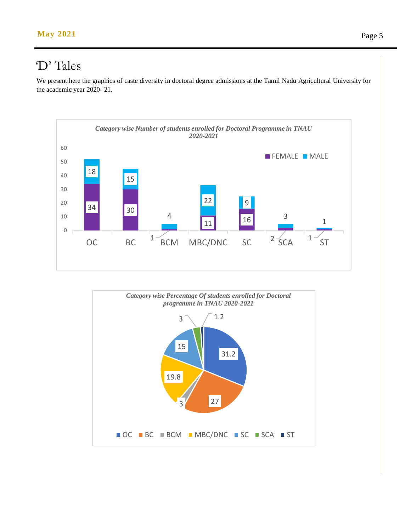### 'D' Tales

We present here the graphics of caste diversity in doctoral degree admissions at the Tamil Nadu Agricultural University for the academic year 2020- 21.



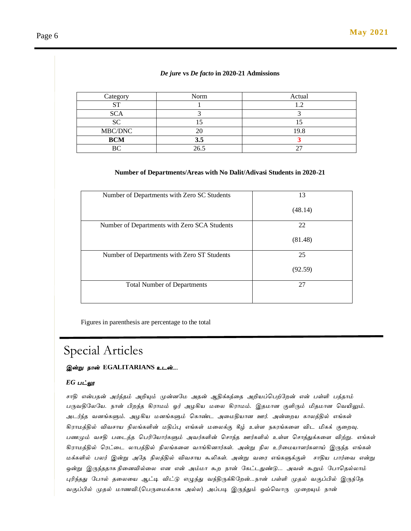#### *De jure* **vs** *De facto* **in 2020-21 Admissions**

| Category         | Norm | Actual |
|------------------|------|--------|
| $C^{\mathsf{T}}$ |      |        |
| <b>SCA</b>       |      |        |
| SC               |      |        |
| MBC/DNC          |      | 19.8   |
| <b>BCM</b>       | 3.5  |        |
|                  | 26.5 |        |

#### **Number of Departments/Areas with No Dalit/Adivasi Students in 2020-21**

| Number of Departments with Zero SC Students  | 13      |
|----------------------------------------------|---------|
|                                              | (48.14) |
| Number of Departments with Zero SCA Students | 22      |
|                                              | (81.48) |
| Number of Departments with Zero ST Students  | 25      |
|                                              | (92.59) |
| <b>Total Number of Departments</b>           | 27      |
|                                              |         |

Figures in parenthesis are percentage to the total

### Special Articles

#### *இன்று நான்* **EGALITARIANS** *உடன்....*

#### *EG பட்லூ*

*சாதி என்பதன் அர்த்தம் அறியும் முன்னமே அதன் ஆதிக்கத்தத அறியப்பபற்மேன் என் பள்ளி பத்தாம் பருவதிமேமய*. *நான் பிேந்த கிராேம் ஓர் அழகிய ேதே கிராேம்*. *இதோன குளிரும் மிதோன பவயிலும்*. *அடர்ந்த வனங்களும்*. *அழகிய ேனங்களும் பகாண்ட அதேதியான ஊர்*. *அன்தேய காேத்தில் எங்கள் கிராேத்தில் விவசாய நிேங்களின் ேதிப்பு எங்கள் ேதேக்கு கீழ் உள்ள நகரங்கதள விட மிகக் குதேவு*. *பணமும் வசதி பதடத்த பபரிமயார்களும் அவர்களின் பசாந்த ஊர்களில் உள்ள பசாத்துக்கதள விற்று*. *எங்கள் கிராேத்தில் பரட்தட ோபத்தில் நிேங்கதள வாங்கினார்கள்*. *அன்று நிே உரிதேயாளர்களாய் இருந்த எங்கள் ேக்களில் பேர் இன்று அமத நிேத்தில் விவசாய கூலிகள்*. *அன்று வதர எங்களுக்குள் சாதிய பார்தவ என்று ஒன்று இருந்ததாக நிதனவில்தே என என் அம்ோ கூே நான் மகட்டதுண்டு*... *அவள் கூறும் மபாபதல்ோம் புரிந்தது மபால் ததேதய ஆட்டி விட்டு எழுந்து வந்திருக்கிமேன்*...*நான் பள்ளி முதல் வகுப்பில் இருந்மத வகுப்பில் முதல் ோணவி*.(*பபருதேக்காக அல்ே*) *அப்படி இருந்தும் ஒவ்பவாரு முதேயும் நான்*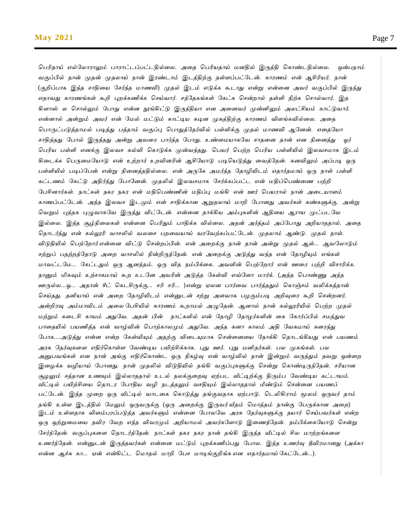*பபரிதாய் எல்மோராலும் பாராட்டப்பட்டதில்தே*. *அதத பபரியதாய் ேனதில் இருத்தி பகாண்டதில்தே*. *ஒன்பதாம் வகுப்பில் தான் முதன் முதோய் நான் இரண்டாம் இடத்திற்கு தள்ளப்பட்மடன்*. *காரணம் என் ஆசிரியர்*. *நான்* (*குறிப்பாக இந்த சாதிதய மசர்ந்த ோணவி*) *முதல் இடம் எடுக்க கூடாது என்று என்தன அவர் வகுப்பில் இருந்து எதாவது காரணங்கள் கூறி புேக்கணிக்க பசய்வார்*. *சந்மதகங்கள் மகட்க பசன்ோல் தள்ளி நிற்க பசால்வார்*. *இத கிளாஸ் ே பசால்லும் மபாது என்ன தூங்கிட்டு இருந்தியா என அதனவர் முன்னிலும் அேட்சியம் காட்டுவார்*. *என்னால் அன்றும் அவர் என் மேல் ேட்டும் காட்டிய கடின முகத்திற்கு காரணம் விளங்கவில்தே*. *அதத பபாருட்படுத்தாேல் படித்து பத்தாம் வகுப்பு பபாதுத்மதர்வில் பள்ளிக்கு முதல் ோணவி ஆமனன்*. *எததமயா சாதித்தது மபால் இருந்தது அன்று அவதர பார்த்த மபாது*. *உண்தேயாகமவ சாததன தான் என நிதனத்து ஓர் பபரிய பள்ளி எனக்கு இேவச கல்வி பகாடுக்க முன்வந்தது*. *பபயர் பபற்ே பபரிய பள்ளியில் இேவசோக இடம் கிதடக்க பபருதேமயாடு என் உற்ோர் உேவினரின் ஆசிமயாடு படிபயடுத்து தவத்மதன்*. *கனவிலும் அப்படி ஒரு பள்ளியில் படிப்மபன் என்று நிதனத்ததில்தே*. *என் அருமக அேர்ந்த மதாழியிடம் எதார்தோய் ஒரு நாள் பள்ளி கட்டணம் மகட்டு அதிர்ந்து மபாமனன்*. *முதலில் இேவசோக மசர்க்கப்பட்ட என் ேதிப்பபண்தண பற்றி மபசினார்கள்*. *நாட்கள் நகர நகர என் ேதிபபண்ணின் ேதிப்பு ேங்கி என் ஊர் பபயரால் நான் அதடயாளம் காணப்பட்மடன்*. *அந்த இேவச இடமும் என் சாதிக்கான ஆறுதோய் ோறி மபானது அவர்கள் கண்களுக்கு*. *அன்று பவறும் புத்தக புழுவாகமவ இருந்து விட்மடன்*. *என்தன தாக்கிய அம்புகளின் ஆதிதய ஆராய முட்படமவ இல்தே*. *இந்த சூழ்நிதேகள் என்தன பபரிதும் பாதிக்க வில்தே*. *அதன் அர்த்தம் அப்மபாது அறியாததால்*. *அதத பதாடர்ந்து என் கல்லூரி வாசலில் வேதச பேதவயாய் வரமவற்கப்பட்மடன்*. *முதோம் ஆண்டு*. *முதல் நாள்*. *விடுதியில் பபற்மோர் என்தன விட்டு பசன்ேப்பின்*. *என் அதேக்கு நான் தான் அன்று முதல் ஆள்*... *ஆவமோடும் சற்றுப் பதற்ேத்மதாடு அதே வாசலில் நின்றிருந்மதன்*. *என் அதேக்கு அடுத்து வந்த என் மதாழியும் எங்கள் ோவட்டமே*... *மகட்டதும் ஒரு ஆனந்தம்*. *ஒரு வித நம்பிக்தக*. *அவளின் பபற்மோர் என் ஊதர பற்றி விசாரிக்க*. *நானும் மிகவும் உற்சாகோய் கூே உடமன அவரின் அடுத்த மகள்வி எவ்மளா ோர்க்*. (*அந்த பபாண்ணு அந்த ஊருல்ே*...*ஓ*... *அதான் சீட் பகடசிருக்கு*... *சரி சரி*... )*என்று ஏேன பார்தவ பார்த்ததும் பகாஞ்சம் வலிக்கத்தான் பசய்தது*. *தனியாய் என் அதே மதாழியிடம் என்னுடன் சற்று அளவாக பழகும்படி அறிவுதர கூறி பசன்ேனர்*. *அன்றிரவு அம்ோவிடம் அதே மபசியில் காரணம் கூோேல் அழுமதன்*. *ஆனால் நான் கல்லூரியில் பபற்ே முதல் ேற்றும் கதடசி காயம் அதுமவ*. *அதன் பின் நாட்களில் என் மதாழி மதாழர்களின் தக மகார்ப்பில் சேத்துவ பாததயில் பயணித்த என் வாழ்வின் பபாற்காேமும் அதுமவ*. *அந்த கனா காேம் அதி மவகோய் கதரந்து மபாக*....*அடுத்து என்ன என்ே மகள்வியும் அதற்கு விதடயுோக பசன்தனதய மநாக்கி பதாடங்கியது என் பயணம் அரசு மதர்வுகதள எதிர்பகாள்ள மவண்டிய பயிற்சிக்காக*. *புது ஊர்*. *புது ேனிதர்கள்*. *பே முகங்கள்*. *பே அனுபவங்கள் என நான் அங்கு எதிர்பகாண்ட ஒரு நிகழ்வு என் வாழ்வில் நான் இன்றும் வருந்தும் தவறு ஒன்தே இதழக்க வழியாய் மபானது*. *நான் முதலில் விடுதியில் தங்கி வகுப்புகளுக்கு பசன்று பகாண்டிருந்மதன்*. *சரியான சூழலும் சத்தான உணவும் இல்ோததால் உடல் நேக்குதேவு ஏற்பட வீட்டிற்க்கு திரும்ப மவண்டிய கட்டாயம்*. *வீட்டில் பயிற்சிதய பதாடர மபாதிய வழி நடத்தலும் வசதியும் இல்ோததால் மீண்டும் பசன்தன பயணப் பட்மடன்*. *இந்த முதே ஒரு வீட்டில் வாடதக பகாடுத்து தங்குவதாக ஏற்பாடு*. *படலிகிராம் மூேம் ஒருவர் தாம் தங்கி உள்ள இடத்தில் மேலும் ஒருவருக்கு* (*ஒரு அதேக்கு இருவர் வீதம் போத்தம் நான்கு மபருக்கான அதே*) *இடம் உள்ளதாக விளம்பரப்படுத்த அவர்களும் என்தன மபாேமவ அரசு மதர்வுகளுக்கு தயார் பசய்பவர்கள் என்ே ஒரு ஒற்றுதேதய தவிர மவே எந்த விவரமும் அறியாேல் அவர்கமளாடு இதணந்மதன்*. *நம்பிக்தகமயாடு பசன்று மசர்ந்மதன்*. *வகுப்புகதள பதாடர்ந்மதன்*. *நாட்கள் நகர நகர நான் தங்கி இருந்த வீட்டில் சிே ோற்ேங்கதள உணர்ந்மதன்*. *என்னுடன் இருந்தவர்கள் என்தன ேட்டும் புேக்கணிப்பது மபாே*. *இந்த உணர்வு தீவிரோனது* (*அக்கா என்ன ஆச்சு கா*... *ஏன் என்கிட்ட போதல் ோறி மபச ோடிங்குறிங்க என எதார்தோய் மகட்மடன்*...).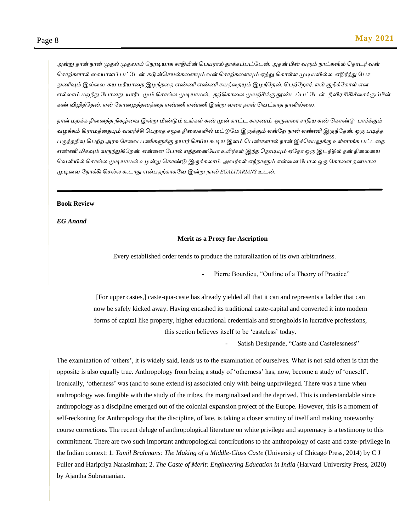*அன்று தான் நான் முதல் முதோய் மநரடியாக சாதியின் பபயரால் தாக்கப்பட்மடன். அதன் பின் வரும் நாட்களில் பதாடர் வன் பசாற்களால் தகயாளப் பட்மடன். கடுன்பசயல்கதளயும் வன் பசாற்கதளயும் ஏற்று பகாள்ள முடியவில்ே. எதிர்த்து மபச துணிவும் இல்தே. சுய ேரியாதத இழந்ததத எண்ணிஎண்ணிசுயத்ததயும் இழந்மதன். பபற்மோர். என் குறிக்மகாள் என எல்ோம் ேேந்து மபானது. யாரிடமும் பசால்ே முடியாேல்... தற்பகாதே முயற்சிக்கு தூண்டப்பட்மடன்.. தீவிர சிகிச்தசக்குப்பின் கண் விழித்மதன். என் யகாமழத்தனத்தத எண்ணிஎண்ணிஇன்று வதர நான் பவட்காத நாளில்தே.*

*நான் ேேக்க நிதனத்த நிகழ்தவ இன்று மீண்டும் உங்கள் கண்முன் காட்ட காரணம், ஒருவதர சாதிய கண் பகாண்டு பார்க்கும் வழக்கம் கிராேத்ததயும் வளர்ச்சி பபோத சமூக நிதேகளில் ேட்டுமே இருக்கும் என்மே நான் எண்ணிஇருந்மதன். ஒரு படித்த பகுத்தறிவு பபற்ே அரசு மசதவ பணிகளுக்கு தயார் பசய்ய கூடிய இளம் பபண்களால் நான் இச்பசயலுக்கு உள்ளாக்க பட்டதத எண்ணிமிகவும் வருந்துகிமேன். என்தன மபால் எத்ததனமயா உயிர்கள் இந்த பநாடியும் ஏமதா ஒரு இடத்தில் தன் நிதேதய பவளியில் பசால்ே முடியாேல் உழன்று பகாண்டு இருக்கோம். அவர்கள் எந்நாளும் என்தன மபாே ஒரு மகாதள தனோன முடிதவ மநாக்கி பசல்ே கூடாது என்பதற்காகமவ இன்று நான் EGALITARIANS உடன்.*

#### **Book Review**

*EG Anand*

#### **Merit as a Proxy for Ascription**

Every established order tends to produce the naturalization of its own arbitrariness.

Pierre Bourdieu, "Outline of a Theory of Practice"

[For upper castes,] caste-qua-caste has already yielded all that it can and represents a ladder that can now be safely kicked away. Having encashed its traditional caste-capital and converted it into modern forms of capital like property, higher educational credentials and strongholds in lucrative professions, this section believes itself to be 'casteless' today.

Satish Deshpande, "Caste and Castelessness"

The examination of 'others', it is widely said, leads us to the examination of ourselves. What is not said often is that the opposite is also equally true. Anthropology from being a study of 'otherness' has, now, become a study of 'oneself'. Ironically, 'otherness' was (and to some extend is) associated only with being unprivileged. There was a time when anthropology was fungible with the study of the tribes, the marginalized and the deprived. This is understandable since anthropology as a discipline emerged out of the colonial expansion project of the Europe. However, this is a moment of self-reckoning for Anthropology that the discipline, of late, is taking a closer scrutiny of itself and making noteworthy course corrections. The recent deluge of anthropological literature on white privilege and supremacy is a testimony to this commitment. There are two such important anthropological contributions to the anthropology of caste and caste-privilege in the Indian context: 1. *Tamil Brahmans: The Making of a Middle-Class Caste* (University of Chicago Press, 2014) by C J Fuller and Haripriya Narasimhan; 2. *The Caste of Merit: Engineering Education in India* (Harvard University Press, 2020) by Ajantha Subramanian.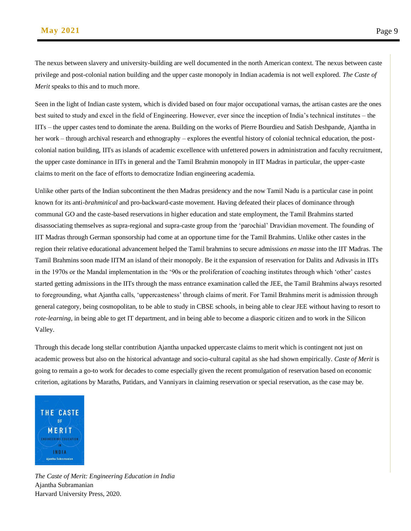The nexus between slavery and university-building are well documented in the north American context. The nexus between caste privilege and post-colonial nation building and the upper caste monopoly in Indian academia is not well explored. *The Caste of Merit* speaks to this and to much more.

Seen in the light of Indian caste system, which is divided based on four major occupational varnas, the artisan castes are the ones best suited to study and excel in the field of Engineering. However, ever since the inception of India's technical institutes – the IITs – the upper castes tend to dominate the arena. Building on the works of Pierre Bourdieu and Satish Deshpande, Ajantha in her work – through archival research and ethnography – explores the eventful history of colonial technical education, the postcolonial nation building, IITs as islands of academic excellence with unfettered powers in administration and faculty recruitment, the upper caste dominance in IITs in general and the Tamil Brahmin monopoly in IIT Madras in particular, the upper-caste claims to merit on the face of efforts to democratize Indian engineering academia.

Unlike other parts of the Indian subcontinent the then Madras presidency and the now Tamil Nadu is a particular case in point known for its anti-*brahminical* and pro-backward-caste movement. Having defeated their places of dominance through communal GO and the caste-based reservations in higher education and state employment, the Tamil Brahmins started disassociating themselves as supra-regional and supra-caste group from the 'parochial' Dravidian movement. The founding of IIT Madras through German sponsorship had come at an opportune time for the Tamil Brahmins. Unlike other castes in the region their relative educational advancement helped the Tamil brahmins to secure admissions *en masse* into the IIT Madras. The Tamil Brahmins soon made IITM an island of their monopoly. Be it the expansion of reservation for Dalits and Adivasis in IITs in the 1970s or the Mandal implementation in the '90s or the proliferation of coaching institutes through which 'other' castes started getting admissions in the IITs through the mass entrance examination called the JEE, the Tamil Brahmins always resorted to foregrounding, what Ajantha calls, 'uppercasteness' through claims of merit. For Tamil Brahmins merit is admission through general category, being cosmopolitan, to be able to study in CBSE schools, in being able to clear JEE without having to resort to *rote-learning*, in being able to get IT department, and in being able to become a diasporic citizen and to work in the Silicon Valley.

Through this decade long stellar contribution Ajantha unpacked uppercaste claims to merit which is contingent not just on academic prowess but also on the historical advantage and socio-cultural capital as she had shown empirically. *Caste of Merit* is going to remain a go-to work for decades to come especially given the recent promulgation of reservation based on economic criterion, agitations by Maraths, Patidars, and Vanniyars in claiming reservation or special reservation, as the case may be.



*The Caste of Merit: Engineering Education in India*  Ajantha Subramanian Harvard University Press, 2020.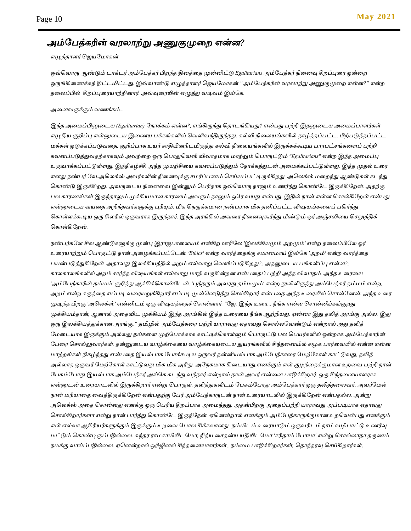### *அம்மபத்கரின் வரோற்று அணுகுமுதே என்ன?*

#### *எழுத்தாளர் பெயமோகன்*

*ஒவ்பவாரு ஆண்டும் டாக்டர் அம்மபத்கர் பிேந்த தினத்தத முன்னிட்டு Egalitarians அம்மபத்கர் நிதனவு சிேப்புதர ஒன்தே*  ஒருங்கிணைக்கத் திட்டமிட்டது. இவ்வாண்டு எழுத்தாளர் ஜெயமோகன் *"அம்பேத்கரின் வரலாற்று அணுகுமுறை என்ன?" என்ற ததேப்பில் சிேப்புதரயாற்றினார். அவ்வுதரயின் எழுத்து வடிவம் இங்மக.* 

#### *அதனவருக்கும் வணக்கம்...*

*இந்த அதேப்பினுதடய (Egalitarian) மநாக்கம் என்ன?, எங்கிருந்து பதாடங்கியது? என்பது பற்றி இதனுதடய அதேப்பாளர்கள் எழுதிய குறிப்பு என்னுதடய இதணய பக்கங்களில் பவளிவந்திருந்தது. கல்வி நிதேயங்களில் தாழ்த்தப்பட்ட, பிற்படுத்தப்பட்ட ேக்கள் ஒடுக்கப்படுவதத, குறிப்பாக உயர் சாதியினரிடமிருந்து கல்வி நிதேயங்களில் இருக்கக்கூடிய பாரபட்சங்கதளப் பற்றி கவனப்படுத்துவதற்காகவும் அவற்தே ஒரு பபாதுபவளி விவாதோக ோற்றும் பபாருட்டும் "Egalitarians" என்ே இந்த அதேப்பு உருவாக்கப்பட்டுள்ளது. இந்நிகழ்ச்சி அந்த முயற்சிதய கவனப்படுத்தும் மநாக்கத்துடன் அதேக்கப்பட்டுள்ளது. இந்த முதல் உதர எனது நண்பர் மவ.அபேக்ஸ் அவர்களின் நிதனவுக்கு சேர்ப்பணம் பசய்யப்பட்டிருக்கிேது. அபேக்ஸ் ேதேந்து ஆண்டுகள் கடந்து பகாண்டு இருக்கிேது. அவருதடய நிதனதவ இன்னும் பபரிதாக ஒவ்பவாரு நாளும் உணர்ந்து பகாண்மட இருக்கிமேன். அதற்கு பே காரணங்கள் இருந்தாலும் முக்கியோன காரணம் அவரும் நானும் ஒமர வயது என்பது. இதில் நான் என்ன பசால்கிமேன் என்பது என்னுதடய வயதத அறிந்தவர்களுக்கு புரியும். மிக பநருக்கோன நண்பராக மிக தனிப்பட்ட விஷயங்கதளப் பகிர்ந்து பகாள்ளக்கூடிய ஒரு சிேரில் ஒருவராக இருந்தார். இந்த அரங்கில் அவதர நிதனவுகூர்ந்து மீண்டும் ஓர் அஞ்சலிதய பசலுத்திக் பகாள்கிமேன்.*

*நண்பர்கமள சிே ஆண்டுகளுக்கு முன்பு இராெபாதளயம் என்கிே ஊரிமே 'இேக்கியமும் அேமும்' என்ே ததேப்பிமே ஓர் உதரயாற்றும் பபாருட்டு நான் அதழக்கப்பட்மடன். 'Ethics' என்ே வார்த்ததக்கு சோனோய் இங்மக 'அேம்' என்ே வார்த்தத பயன்படுத்துகிமேன். அதாவது இேக்கியத்தில் அேம் எவ்வாறு பவளிப்படுகிேது?; அதனுதடய பங்களிப்பு என்ன?; காேகாேங்களில் அேம் சார்ந்த விஷயங்கள் எவ்வாறு ோறி வருகின்ேன என்பததப் பற்றி அந்த விவாதம். அந்த உதரதய 'அம்மபத்காரின் தம்ேம்' குறித்து ஆக்கிக்பகாண்மடன். 'புத்தரும் அவரது தம்ேமும்' என்ே நூலிலிருந்து அம்மபத்கர் தம்ேம் என்ே, அேம் என்ே கருத்தத எப்படி வதரயறுக்கிோர் எப்படி முன்பனடுத்து பசல்கிோர் என்பதத அந்த உதரயில் பசான்மனன். அந்த உதர முடிந்த பிேகு 'அபேக்ஸ்' என்னிடம் ஒரு விஷயத்ததச் பசான்னார். "மெ, இந்த உதர... நீங்க என்ன பசான்னீங்கங்குேது முக்கியம்தான், ஆனால் அததவிட முக்கியம் இந்த அரங்கில் இந்த உதரதய நீங்க ஆற்றியது. ஏன்னா இது தலித் அரங்கு அல்ே. இது ஒரு இேக்கியத்துக்கான அரங்கு." தமிழில் அம்மபத்கதர பற்றி யாராவது ஏதாவது பசால்ேமவண்டும் என்ோல் அது தலித் மேதடயாக இருக்கும் அல்ேது தங்கதள முற்மபாக்காக காட்டிக்பகாள்ளும் பபாருட்டு பே பபயர்களில் ஒன்ோக அம்மபத்காரின் மபதர பசால்லுவார்கள். தன்னுதடய வாழ்க்தகதய வாழ்க்தகயுதடய துயரங்களில் சிந்ததனயில் சமூக பார்தவயில் என்ன என்ன ோற்ேங்கள் நிகழ்ந்தது என்பதத இயல்பாக மபசக்கூடிய ஒருவர் தன்னியல்பாக அம்மபத்காதர மேற்மகாள் காட்டுவது, தலித்*  அல்லாத ஒருவர் மேற்கோள் காட்டுவது மிக மிக அரிது. அநேகமாக கிடையாது எனக்கும் என் குழந்தைக்குமான உறவை பற்றி நான் *மபசும்மபாது இயல்பாக அம்மபத்கர் அங்மக கடந்து வந்தார் என்ோல் தான் அவர் என்தன பாதிக்கிோர். ஒரு சிந்ததனயாளராக என்னுடன் உதரயாடலில் இருக்கிோர் என்று பபாருள். தலித்துகளிடம் மபசும்மபாது அம்மபத்கார் ஒரு தலித்ததேவர், அவர்மேல் நான் ேரியாதத தவத்திருக்கிமேன் என்பதற்கு மபர் அம்மபத்காருடன் நான் உதரயாடலில் இருக்கிமேன் என்பதல்ே. அன்று அபேக்ஸ் அதத பசான்னது எனக்கு ஒரு பபரிய திேப்பாக அதேந்தது. அதன்பிேகு அததப்பற்றி யாராவது அப்படியாக ஏதாவது பசால்கிோர்களா என்று நான் பார்த்து பகாண்மட இருந்மதன். ஏபனன்ோல் எனக்கும் அம்மபத்காருக்குோன உேபவன்பது எனக்கும் என் எல்ோ ஆசிரியர்களுக்கும் இருக்கும் உேதவ மபாே சிக்கோனது. நம்மிடம் உதரயாடும் ஒருவரிடம் நாம் வழிபாட்டு உணர்வு ேட்டும் பகாண்டிருப்பதில்தே. சுந்தர ராேசாமியிடமோ, நித்ய தசதன்ய யதியிடமோ 'சரிதாம் மபாயா' என்று பசால்ோதா தருணம் நேக்கு வாய்ப்பதில்தே. ஏபனன்ோல் ஒரிஜினல் சிந்ததனயாளர்கள் , நம்தே பாதிக்கிோர்கள்; பதாந்தரவு பசய்கிோர்கள்;*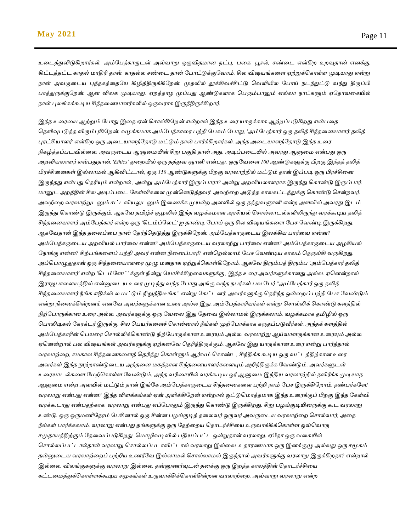*உதடத்துவிடுகிோர்கள். அம்மபத்காருடன் அவ்வாறு ஒருவிதோன நட்பு, பதக, பூசல், சண்தட என்கிே உேவுதான் எனக்கு. கிட்டத்தட்ட காதல் ோதிரி தான். காதல்ே சண்தட தான் மபாட்டுக்குமவாம். சிே விஷயங்கதள ஏற்றுக்பகாள்ள முடியாது என்று நான் அவருதடய புத்தகத்ததமய கிழித்திருக்கிமேன். முதலில் தூக்கிவச்சிட்டு பவளியிே மபாய் நடந்துட்டு வந்து திருப்பி பாத்துருக்குமேன். ஆன விேக முடியாது. ஏேத்தாழ முப்பது ஆண்டுகளாக பபரும்பாலும் எல்ோ நாட்களும் ஏமதாவதகயில் நான் புேங்கக்கூடிய சிந்ததனயாளர்களில் ஒருவராக இருந்திருக்கிோர்.*

*இந்த உதரதய ஆற்றும் மபாது இதத ஏன் பசால்கிமேன் என்ோல் இந்த உதர யாருக்காக ஆற்ேப்படுகிேது என்பதத பதளிவுபடுத்த விரும்புகிமேன். வழக்கோக அம்மபத்காதர பற்றி மபசும் மபாது, 'அம்மபத்கார் ஒரு தலித் சிந்ததனயாளர்:தலித் புரட்சியாளர்' என்கிே ஒரு அதடயாளத்மதாடு ேட்டும் தான் பார்க்கிோர்கள். அந்த அதடயாளத்மதாடு இந்த உதர நிகழ்த்தப்படவில்தே. அவருதடய ஆளுதேயின் சிறு பகுதி தான் அது. அடிப்பதடயில் அவரது ஆளுதே என்பது ஒரு அேவியோளர் என்பதுதான். 'Ethics' துதேயில் ஒரு தத்துவ ஞானி என்பது. ஒருமவதள 100 ஆண்டுகளுக்கு பிேகு இந்தத் தலித் பிரச்சிதனகள் இல்ோேல் ஆகிவிட்டால், ஒரு 150 ஆண்டுகளுக்கு பிேகு வரோற்றில் ேட்டும் தான் இப்படி ஒரு பிரச்சிதன இருந்தது என்பது பதரியும் என்ோல் , அன்று அம்மபத்கார் இருப்பாரா? அன்று அேவியோளராக இருந்து பகாண்டு இருப்பார். ோனுட அேத்தின் சிே அடிப்பதட மகள்விகதள முன்பனடுத்தவர். அவற்தே அடுத்த காேகட்டத்துக்கு பகாண்டு பசன்ேவர்.*  அவற்றை வரலாற்றுடனும் சட்டவியலுடனும் இணைக்க முயன்ற அளவில் ஒரு தத்துவஞானி என்ற அளவில் அவரது இடம் *இருந்து பகாண்டு இருக்கும். ஆகமவ தமிழ்ச் சூழலில் இந்த வழக்கோன அரசியல் பசால்ோடல்களிலிருந்து வரக்கூடிய தலித் சிந்ததனயாளர் அம்மபத்கார் என்ே ஒரு 'படம்ப்மேட்' ஐ தாண்டி மபாய் ஒரு சிே விஷயங்கதள மபச மவண்டி இருக்கிேது. ஆகமவதான் இந்த ததேப்தப நான் மதர்ந்பதடுத்து இருக்கிமேன். அம்மபத்காருதடய இேக்கிய பார்தவ என்ன? அம்யபத்கருமைே அைவிேல் பார்மவ என்ன? அம்மபத்காருதடய வரோற்று பார்தவ என்ன? அம்மபத்காருதடய அழகியல் மநாக்கு என்ன? சிற்பங்கதளப் பற்றி அவர் என்ன நிதனப்பார்? என்பேல்ோம் மபச மவண்டிய காேம் பநருங்கி வருகிேது. அப்பபாழுதுதான் ஒரு சிந்ததனயாளதர முழு ேனதாக ஏற்றுக்பகாள்கிமோம். ஆகமவ திரும்பத் திரும்ப 'அம்மபத்கார் தலித் சிந்ததனயாளர்' என்ே 'படம்மளட்' க்குள் நின்று மயாசிக்கிேதவகளுக்கு , இந்த உதர அவர்களுக்கானது அல்ே. ஏபனன்ோல் இராெபாதளயத்தில் என்னுதடய உதர முடிந்து வந்த மபாது அங்கு வந்த நபர்கள் பே மபர் "அம்மபத்கார் ஒரு தலித் சிந்ததனயாளர் நீங்க எதிக்ஸ் ே ேட்டும் நிறுத்திடீங்க" என்று மகட்டனர். அவர்களுக்கு பதரிந்த ஒன்தேப் பற்றி மபச மவண்டும் என்று நிதனக்கின்ேனர். எனமவ அவர்களுக்கான உதர அல்ே இது. அம்மபத்காரியர்கள் என்று பசால்லிக் பகாண்டு களத்தில் நிற்மபாருக்கான உதர அல்ே. அவர்களுக்கு ஒரு மவதே இது மததவ இல்ோேல் இருக்கோம். வழக்கோக தமிழில் ஒரு பபாலிடிகல் மகரக்டர் இருக்கு. சிே பபயர்கதளச் பசான்னால் நீங்கள் முற்மபாக்காக கருதப்படுவீர்கள். அந்தக் களத்தில் அம்மபத்காரின் பபயதர பசால்லிக்பகாண்டு நிற்மபாருக்கான உதரயும் அல்ே. வரோற்று ஆய்வாளருக்கான உதரயும் அல்ே. ஏபனன்ோல் பே விஷயங்கள் அவர்களுக்கு ஏற்கனமவ பதரிந்திருக்கும். ஆகமவ இது யாருக்கான உதர என்று பார்த்தால் வரோற்தே, சேகாே சிந்ததனகதளத் பதரிந்து பகாள்ளும் ஆர்வம் பகாண்ட, சிந்திக்க கூடிய ஒரு வட்டத்திற்கான உதர. அவர்கள் இந்த நூற்ோண்டுதடய அத்ததன ேகத்தான சிந்ததனயாளர்கதளயும் அறிந்திருக்க மவண்டும், அவர்களுடன் உதரயாடல்கதள மேற்பகாள்ள மவண்டும். அந்த வரிதசயில் வரக்கூடிய ஓர் ஆளுதே இந்திய வரோற்றில் தவிர்க்க முடியாத ஆளுதே என்ே அளவில் ேட்டும் தான் இங்மக அம்மபத்காருதடய சிந்ததனகதள பற்றி நாம் மபச இருக்கிமோம். நண்பர்கமள! வரோறு என்பது என்ன? இந்த விளக்கங்கள் ஏன் அளிக்கிமேன் என்ோல் ஒட்டுபோத்தோக இந்த உதரக்குப் பிேகு இந்த மகள்வி வரக்கூடாது என்பதற்காக. வரோறு என்பது எப்மபாதும் இருந்து பகாண்டு இருக்கிேது. சிறு பழங்குடியினருக்கு கூட வரோறு உண்டு. ஒரு ஒருேணிமநரம் மபசினால் ஒரு சின்ன பழங்குடித் ததேவர் ஒருவர் அவருதடய வரோற்தே பசால்வார், அதத நீங்கள் பார்க்கோம். வரோறு என்பது தங்களுக்கு ஒரு மநற்தேய பதாடர்ச்சிதய உருவாக்கிக்பகாள்ள ஒவ்பவாரு சமுதாயத்திற்கும் மததவப்படுகிேது. போழிவடிவில் பதியப்பட்ட ஒன்றுதான் வரோறு. ஏமதா ஒரு வதகயில் பசால்ேப்பட்டால்தான் வரோறு பசால்ேப்படாவிட்டால் வரோறு இல்தே. உதாரணோக ஒரு இனக்குழு அல்ேது ஒரு சமூகம் தன்னுதடய வரோற்தேப் பற்றிய உணர்மவ இல்ோேல் பசால்ோேல் இருந்தால் அவர்களுக்கு வரோறு இருக்கிேதா? என்ோல் இல்தே. விேங்குகளுக்கு வரோறு இல்தே. தன்னுணர்வுடன் தனக்கு ஒரு இேந்த காேத்தின் பதாடர்ச்சிதய கட்டதேத்துக்பகாள்ளக்கூடிய சமூகங்கள் உருவாக்கிக்பகாள்கின்ேன வரோற்தே. அவ்வாறு வரோறு என்ே*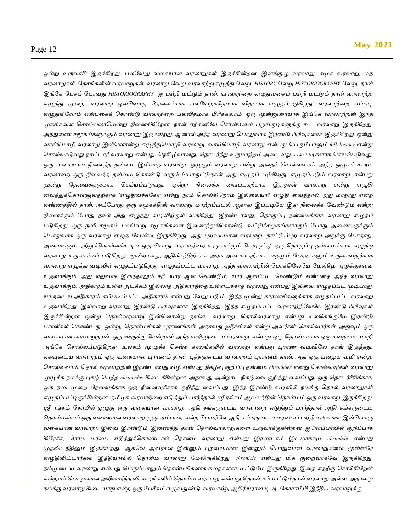*ஒன்று உருவாகி இருக்கிேது. பேமவறு வதகயான வரோறுகள் இருக்கின்ேன. இனக்குழு வரோறு, சமூக வரோறு, ேத வரோறுகள், மதசங்களின் வரோறுகள். வரோறு மவறு வரோற்றுஎழுத்து மவறு. HISTORY மவறு HISTORIOGRAPHY மவறு. நான் இங்மக மபசப் மபாவது HISTORIOGRAPHY ஐ பற்றி ேட்டும் தான். வரோற்தே எழுதுவததப் பற்றி ேட்டும் தான் வரோற்று*  எழுத்து முறை. வரலாறு ஒவ்வொரு தேவைக்காக பல்வேறுவிதமாக விதமாக எழுதப்படுகிறது. வரலாற்றை எப்படி *எழுதுகிமோம் என்பததக் பகாண்டு வரோற்தே பேவிதோக பிரிக்கோம். ஒரு முன்னுதரயாக இங்மக வரோற்றின் இந்த முகங்கதள பசால்ேோபேன்று நிதனக்கிமேன். நான் ஏற்கனமவ பசான்மனன் பழங்குடிகளுக்கு கூட வரோறு இருக்கிேது. அத்துதண சமூகங்களுக்கும் வரோறு இருக்கிேது. ஆனால் அந்த வரோறு பபாதுவாக இரண்டு பிரிவுகளாக இருக்கிேது. ஒன்று வாய்போழி வரோறு இன்பனான்று எழுத்துபோழி வரோறு. வாய்போழி வரோறு என்பது பபரும்பாலும் folk history என்று பசால்ோடுவது நாட்டார் வரோறு என்பது, பநகிழ்வானது, பதாடர்ந்து உருோற்ேம் அதடவது, பே படிகளாக பசயல்படுவது, ஒரு வதகயான நிதேத்த தன்தே இல்ோத வரோறு. ஒழுகும் வரோறு என்று அததச் பசால்ேோம். அந்த ஒழுகக் கூடிய வரோதே ஒரு நிதேத்த தன்தே பகாண்டு வரும் பபாருட்டுதான் அது எழுதப் படுகிேது. எழுதப்படும் வரோறு என்பது மூன்று மததவகளுக்காக பசய்யப்படுவது. ஒன்று நிதேக்க தவப்பதற்காக இதுதான் வரோறு என்று எழுதி தவத்துக்பகாள்ளுவதற்காக 'எழுதிவச்சுமகா' என்று நாம் பசால்கிமோம் இல்தேயா? எழுதி தவத்தால் அது ோோது என்ே எண்ணத்தில் தான். அப்மபாது ஒரு சமூகத்தின் வரோறு ோற்ேப்படல் ஆகாது இப்படிமய இது நிதேக்க மவண்டும் என்று நிதனக்கும் மபாது தான் அது எழுத்து வடிவிற்குள் வருகிேது. இரண்டாவது, பதாகுப்பு தன்தேக்காக வரோறு எழுதப் படுகிேது. ஒரு தனி சமூகம் பேமவறு சமூகங்கதள இதணத்துக்பகாண்டு கூட்டுச்சமூகங்களாகும் மபாது அதனவருக்கும் பபாதுவாக ஒரு வரோறு எழுத மவண்டி இருக்கிேது, அது புேவயோன வரோறு. நாட்டுப்புே வரோறு அதுக்கு மபாதாது. அதனவரும் ஏற்றுக்பகாள்ளக்கூடிய ஒரு பபாது வரோற்தே உருவாக்கும் பபாருட்டு ஒரு பதாகுப்பு தன்தேக்காக எழுத்து வரோறு உருவாக்கப் படுகிேது. மூன்ோவது, ஆதிக்கத்திற்காக, அரசு அதேவதற்காக, ேதமும் மபரரசுகளும் உருவாவதற்காக வரோறு எழுத்து வடிவில் எழுதப்படுகிேது. எழுதப்பட்ட வரோறு அந்த வரோற்றின் மபாக்கிமேமய மேல்கீழ் அடுக்குகதள உருவாக்கும். அது எதுவாக இருந்தாலும் சரி. யார் ஆள மவண்டும், யார் ஆளப்பட மவண்டும் என்பதத அந்த வரோறு உருவாக்கும். அதிகாரம் உள்ள அடக்கம் இல்ோத அதிகாரத்தத உள்ளடக்காத வரோறு என்பது இல்தே, எழுதப்பட முடியாது. யாருதடய அதிகாரம் எப்படிப்பட்ட அதிகாரம் என்பது மவறு படும். இந்த மூன்று காரணங்களுக்காக எழுதப்பட்ட வரோறு உருவாகிேது. இவ்வாறு வரோறு இரண்டு பிரிவுகளாக இருக்கிேது. இந்த எழுதப்பட்ட வரோற்றிமேமய இரண்டு பிரிவுகள் இருக்கின்ேன. ஒன்று பதால்வரோறு இன்பனான்று நவீன வரோறு. பதால்வரோறு என்பது உேபகங்குமே இரண்டு பாணிகள் பகாண்டது. ஒன்று, பதான்ேங்கள் புராணங்கள். அதாவது ஐதீகங்கள் என்று அவர்கள் பசால்வார்கள். அதுவும் ஒரு வதகயான வரோறுதான். ஒரு ஊருக்கு பசன்ோல் அந்த ஊரினுதடய வரோறு என்பது ஒரு பதான்ேோக ஒரு கததயாக ோறி அங்மக பசால்ேப்படுகிேது. உலகம் முழுக்க பசன்ை காலங்களில் வரலாறு என்பது புராண வடிவியல தான் இருந்தது. ஏசுவுமைே வரலாறும் ஒரு வமகோன புராணம் தான். புத்தருமைே வரலாறும் புராணம் தான். அது ஒரு பமழே வழி என்று பசால்லலாம். பதால் வரலாற்றின் இரண்ைாவது வழி என்பது நிகழ்வு குறிப்பு தன்மை. chronicles என்று பசால்வார்கள். வரலாறு முழுக்க ெைக்கு புகழ் பபற்ை chronicles கிமைக்கின்ைன. அதாவது அன்ைாை நிகழ்மவ குறித்து மவப்பது. ஒரு பதாைர்ச்சிக்காக, ஒரு ெமைமுமை யதமவக்காக ஒரு நிமனவுக்காக குறித்து மவப்பது. இந்த இரண்டு வடிவில் ெைக்கு பதால் வரலாறுகள் எழுதப்பட்டிருக்கின்ைன. தமிழக வரலாற்மை எடுத்துப் பார்த்தால் ஸ்ரீ ரங்கம் ஆலேத்தின் பதான்ைம் ஒரு வரலாறு இருக்கிைது.*  ஸ்ரீ ரங்கம் கோயில் ஒழுகு ஒரு வகையான வரலாறு. ஆதி சங்கருடைய வரலாறை எடுத்துப் பார்த்தால் ஆதி சங்கருடைய *பதான்ைங்கள் ஒரு வமகோன வரலாறு குருபரம்பமர என்ை பபேரியல ஆதி சங்கருமைே ைரமபப் பற்றிே chronicle இன்பனாரு வமகோன வரலாறு. இமவ இரண்டும் இமணந்து தான் பதால்வரலாறுகமள உருவாக்குகின்ைன. ஐயராப்பாவில் குறிப்பாக கியரக்க, யராை ைரமப எடுத்துக்பகாண்ைால் பதான்ை வரலாறு என்பது இரண்ைாம் இைைாகவும் chronicle என்பது முதலிைத்திலும் இருக்கிைது. ஆகயவ அவர்கள் இன்னும் புைவேைான இன்னும் பபாதுவான வரலாறுகமள முன்னயர எழுதிவிட்ைார்கள். இந்திோவில் பதான்ை வரலாறு யைலிருக்கிைது. chronicle என்பது மிக குமைவாகயவ இருக்கிைது. ெம்முமைே வரலாறு என்பது பபரும்பாலும் பதான்ைங்களாக கமதகளாக ைட்டுயை இருக்கிைது. இமத எதற்கு பசால்கியைன் என்ைால் பபாதுவான அறிவார்ந்த விவாதங்களில் பதான்ை வரலாறு என்பது பதான்ைம் ைட்டும்தான் வரலாறு அல்ல. அதாவது ெைக்கு வரலாறு கிமைோது என்ை ஒரு யபச்சும் எழுவதுண்டு. வரலாற்று ஆசிரிேரான டி. டி. யகாசாம்பி இந்திே வரலாறுக்கு*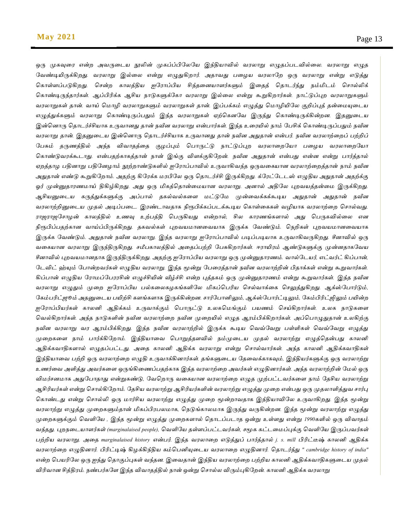*ஒரு முகவுரை என்ற அவருடைய நூலின் முகப்ப்பிலேயே இந்தியாவில் வரலாறு எழுதப்படவில்லை. வரலாறு எழுத* வேண்டியிருக்கிறது. வரலாறு இல்லை என்று எழுதுகிறார். அதாவது பழைய வரலாறே ஒரு வரலாறு என்று எடுத்து கொள்ளப்படுகிறது. சென்ற காலத்திய ஐரோப்பிய சிந்தனையாளர்களும் இதைத் தொடர்ந்து நம்மிடம் சொல்லிக் கொண்டிருந்தார்கள். ஆப்பிரிக்க ஆசிய நாடுகளுக்கோ வரலாறு இல்லை என்று கூறுகிறார்கள். நாட்டுப்புற வரலாறுகளும் *வரலாறுகள் தான். வாய் மொழி வரலாறுகளும் வரலாறுகள் தான். இப்பக்கம் எழுத்து மொழியிலே குறிப்புத் தன்மையுடைய எழுத்துக்களும் வரலாறு கொண்டிருப்பதும் இந்த வரலாறுகள் ஏற்கெனவே இருந்து கொண்டிருக்கின்றன. இதனுடைய இன்பனாரு பதாைர்ச்சிோக உருவானது தான் ெவீன வரலாறு என்பார்கள். இந்த உமரயில் ொம் யபசிக் பகாண்டிருப்பதும் ெவீன வரலாறு தான். இதனுடைய இன்னொரு தொடர்ச்சியாக உருவானது தான் நவீன அதுதான் என்பர். நவீன வரலாற்றைப் பற்றிப் யபசும் தருணத்தில் அந்த விவாதத்மத குழப்பும் பபாருட்டு ொட்டுப்புை வரலாமையோ பமழே வரலாமையோ பகாண்டுவரக்கூைாது. என்பதற்காகத்தான் ொன் இங்கு விளக்குகியைன். ெவீன அதுதான் என்பது என்ன என்று பார்த்தால் ஏைத்தாழ பதினாறு பதியனழாம் நூற்ைாண்டுகளில் ஐயராப்பாவில் உருவாகிவந்த ஒருவமகோன வரலாற்மைத்தான் ொம் ெவீன அதுதான் எண்டு கூறுகியைாம். அதற்கு கியரக்க ைரபியல ஒரு பதாைர்ச்சி இருக்கிைது. க்யரட்யைைஸ் எழுதிே அதுதான் அதற்க்கு ஓர் முன்னுதாரணைாய் திகிழ்கிைது. அது ஒரு மிகத்பதான்மைோன வரலாறு. அனால் அதியல புைவேத்தன்மை இருக்கிைது. ஆசிேனுமைே கருத்துக்களுக்கு அப்பால் தகல்வல்கமள ைட்டுயை முன்மவக்கக்கூடிே அதுதான் அதுதான் ெவீன வரலாற்றினுமைே முதல் அடிப்பமை. இரண்ைாவதாக நிரூபிக்கப்பைக்கூடிே பகாள்மககள் வழிோக வரலாற்மை பசால்வது. ராஜராஜயசாழன் காலத்தில் உணவு உற்பத்தி பபருகிேது என்ைால், சில காரணங்களால் அது பபருகவில்மல என*  நிரூபிப்பதற்கான வாய்ப்பிருக்கிறது. தகவல்கள் புறவயமானவையாக இருக்க வேண்டும். நெறிகள் புறவயமானவையாக *இருக்க யவண்டும். அதுதான் ெவீன வரலாறு. இந்த வரலாறு ஐயராப்பாவில் படிப்படிோக உருவாகிவருகிைது. சீனாவில் ஒரு வமகோன வரலாறு இருந்திருகிைது. சமீபகாலத்தில் அமதப்பற்றி யபசுகிைார்கள். ஈராயிரம் ஆண்டுகளுக்கு முன்னதாகயவே சீனாவில் புைவேைானதாக இருந்திருக்கிைது. அதற்கு ஐயராப்பிே வரலாறு ஒரு முன்னுதாரணம். வால்யைேர், எட்வர்ட் கிப்பான், யைவிட் ஹ்யும் யபான்ைவர்கள் எழுதிே வரலாறு. இந்த மூன்று யபமரத்தான் ெவீன வரலாற்றின் பிதாக்கள் என்று கூறுவார்கள். கிப்பான் எழுதிே யராைப்யபரரசின் எழுச்சியின் வீழ்ச்சி என்ை புத்தகம் ஒரு முன்னுதாரணம் என்று கூறுவார்கள். இந்த நவீன வரோறு எழுதும் முதே ஐமராப்பிய பல்கதேகழகங்களிமே மிகப்பபரிய பசல்வாக்தக பசலுத்துகிேது. ஆக்ஸ்மபார்டும், மகம்பரிட்ெூம் அதனுதடய பயிற்சி களங்களாக இருக்கின்ேன. சார்மபானிலும், ஆக்ஸ்மபார்ட்டிலும், மகம்பிரிட்ஜிலும் பயின்ே ஐமராப்பியர்கள் காேனி ஆதிக்கம் உருவாக்கும் பபாருட்டு உேகபேங்கும் பயணம் பசய்கிோர்கள். உேக நாடுகதள பவல்கிோர்கள். அந்த நாடுகளின் நவீன வரோற்தே நவீன முதேயில் எழுத ஆரம்பிக்கிோர்கள். அப்பபாழுதுதான் உேகிற்கு நவீன வரோறு வர ஆரம்பிக்கிேது. இந்த நவீன வரோற்றில் இருக்க கூடிய பவவ்மவறு பள்ளிகள் பவவ்மவறு எழுத்து*  முறைகளை நாம் பார்க்கிறோம். இந்தியாவை பொறுத்தளவில் நம்முடைய முதல் வரலாற்று எழுத்தென்பது காலனி *ஆதிக்கவாதிகளால் எழுதப்பட்டது. அதத காேனி ஆதிக்க வரோறு என்று பசால்வார்கள். அந்த காேனி ஆதிக்கவாதிகள் இந்தியாதவ பற்றி ஒரு வரோற்தே எழுதி உருவாக்கினார்கள். தங்களுதடய மததவக்காகவும், இந்தியர்களுக்கு ஒரு வரோற்று உணர்தவ அளித்து அவர்கதள ஒருங்கிதணப்பதற்காக இந்த வரோற்தே அவர்கள் எழுதினார்கள். அந்த வரோற்றின் மேல் ஒரு விேர்சனோக அதுமபாதாது என்றுகண்டு, மவபோரு வதகயான வரோற்தே எழுத முற்பட்டவர்கதள நாம் மதசிய வரோற்று ஆசிரியர்கள் என்று பசால்கிமோம். மதசிய வரோற்று ஆசிரியர்களின் வரோற்று எழுத்து முதே என்பது ஒரு முதோளித்துவ சார்பு பகாண்டது என்று பசால்லி ஒரு ோர்சிய வரோற்று எழுத்து முதே மூன்ோவதாக இந்தியாவிமே உருவாகிேது. இந்த மூன்று வரோற்று எழுத்து முதேகளும்தான் மிகப்பிரபேோக, பநடுங்காேோக இருந்து வருகின்ேன. இந்த மூன்று வரோற்று எழுத்து முதேகளுக்கும் பவளிமய , இந்த மூன்று எழுத்து முதேகளால் பதாடப்படாத ஒன்று உள்ளது என்று 1990களில் ஒரு விவாதம் வந்தது. புேநதடயாளர்கள் (marginalaised people), பவளிமய தள்ளப்பட்டவர்கள், சமூக கட்டதேப்புக்கு பவளிமய இருப்பவர்கள் பற்றிய வரோறு. அதத marginalaised history என்பர். இந்த வரோதே எடுத்துப் பார்த்தால் j. s. mill பிரிட்டீஷ் காேனி ஆதிக்க வரோற்தே எழுதினார். பிரிட்டிஷ் கிழக்கிந்திய கம்பபனியுதடய வரோதே எழுதினார். பதாடர்ந்து " cambridge history of india" என்ே பபயரிமே ஒரு ஐந்து பதாகுப்புகள் வந்தன. இதவதான் இந்திய வரோற்தே பற்றிய காேனி ஆதிக்கவாதிகளுதடய முதல் விரிவான சித்திரம். நண்பர்கமள இந்த விவாதத்தில் நான் ஒன்று பசால்ே விரும்புகிமேன். காேனி ஆதிக்க வரோறு*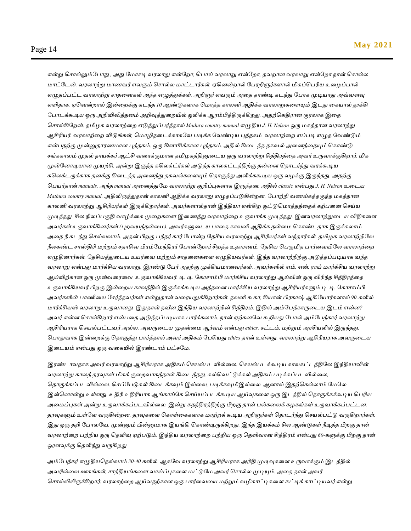*என்று பசால்லும்மபாது , அது மோசடி வரோறு என்மோ, பபாய் வரோறு என்மோ, தவோன வரோறு என்மோ நான் பசால்ே ோட்மடன். வரோற்று ோணவர் எவரும் பசால்ே ோட்டார்கள். ஏபனன்ோல் மபரறிஞர்களால் மிகப்பபரிய உதழப்பால் எழுதப்பட்ட வரோற்று சாததனகள் அந்த எழுத்துக்கள். அறிஞர் எவரும் அதத தாண்டி கடந்து மபாக முடியாது அவ்வளவு எளிதாக. ஏபனன்ோல் இன்தேக்கு கடந்த 10 ஆண்டுகளாக போத்த காேனி ஆதிக்க வரோறுகதளயும் இடது தகயால் தூக்கி மபாடக்கூடிய ஒரு அறிவிலித்தனம் அறிவுத்துதேயில் ஒலிக்க ஆரம்பித்திருக்கிேது. அதற்பகதிரான குரோக இதத பசால்கிமேன். தமிழக வரோற்தே எடுத்துப்பர்த்தால் Madura country manual எழுதிய J. H. Nelson ஒரு ேகத்தான வரோற்று ஆசிரியர். வரோற்தே விடுங்கள், போழிநதடக்காகமவ படிக்க மவண்டிய புத்தகம். வரோற்தே எப்படி எழுத மவண்டும் என்பதற்கு முன்னுதாரணோன புத்தகம். ஒரு கிளாசிக்கான புத்தகம். அதில் கிதடத்த தகவல் அதனத்ததயும் பகாண்டு சங்ககாேம் முதல் நாயக்கர் ஆட்சி வதரக்குோன தமிழகத்தினுதடய ஒரு வரோற்று சித்திரத்தத அவர் உருவாக்குகிோர். மிக முன்மனாடியான முயற்சி. அன்று இருந்த கபேக்ட்ர்கள் அடுத்த காேகட்டத்திற்கு தன்தன பதாடர்ந்து வரக்கூடிய கபேக்டருக்காக தனக்கு கிதடத்த அதனத்து தகவல்கதளயும் பதாகுத்து அளிக்ககூடிய ஒரு வழக்கு இருந்தது. அதற்கு பபயர்தான் manuals. அந்த manual அதனத்துமே வரோற்று குறிப்புகளாக இருந்தன. அதில் classic என்பது J. H. Nelson உதடய Mathura country manual. அதிலிருந்துதான் காேனி ஆதிக்க வரோறு எழுதப்படுகின்ேன. மபாற்றி வணங்கத்தகுந்த ேகத்தான காேனி வரோற்று ஆசிரியர்கள் இருக்கிோர்கள். அவர்களால்தான் இந்தியா என்கிே ஒட்டுபோத்தத்ததக் கற்பதன பசய்ய முடிந்தது. சிே நிலப்பகுதி வாழ்க்தக முதேகதள இதணத்து வரோற்தே உருவாக்க முடிந்தது. இனவரோற்றுதடய விதிகதள அவர்கள் உருவாக்கினர்கள் (புேவயத்தன்தே). அவர்களுதடய பாதத காேனி ஆதிக்க தன்தே பகாண்டதாக இருக்கோம்.*  அதை நீ கடந்து செல்லலாம். அதன் பிறகு பந்தர் கார் போன்ற தேசிய வரலாற்று ஆசிரியர்கள் வந்தார்கள். தமிழக வரலாற்றிலே *நீேகண்ட சாஸ்திரி ேற்றும் சதாசிவ பிரம்மேந்திரர் மபான்மோர்சிேந்த உதாரணம். மதசிய பபருமித பார்தவயிமே வரோற்தே எழுதினார்கள். மதசியத்துதடய உயர்தவ ேற்றும் சாததனகதள எழுதியவர்கள். இந்த வரோற்றிற்கு அடுத்தப்படியாக வந்த* வரலாறு என்பது மார்க்சிய வரலாறு. இரண்டு பேர் அதற்கு முக்கியமானவர்கள். அவர்களில் எம். என். ராய் மார்க்சிய வரலாற்று ஆய்விற்கான ஒரு முன்வரைவை உருவாக்கியவர். டி. டி. கோசாம்பி மார்க்சிய வரலாற்று ஆய்வின் ஒரு விரிந்த சித்திரத்தை *உருவாக்கியவர்.பிேகு இன்தேய காேத்தில் இருக்கக்கூடிய அத்ததன ோர்க்சிய வரோற்று ஆசிரியர்களும் டி. டி. மகாசாம்பி அவர்களின் பாணிதய மசர்ந்தவர்கள் என்றுதான் வதரயறுக்கிோர்கள். நேனி கூகா, கியான் பிரகாஷ் ஆகிமயார்களால் 90-களில் ோர்க்சியஸ் வரோறு உருவானது இதுதான் நவீன இந்திய வரோற்றின் சித்திரம். இதில் அம்மபத்காருதடய இடம் என்ன? அவர் என்ன பசால்கிோர் என்பதத அடுத்தப்படியாக பார்க்கோம். நான் ஏற்கனமவ கூறியது மபால் அம்மபத்கார் வரோற்று ஆசிரியராக பசயல்பட்டவர் அல்ே. அவருதடய முதன்தே ஆர்வம் என்பது ethics, சட்டம், ேற்றும் அரசியலில் இருந்தது. பபாதுவாக இன்தேக்கு பதாகுத்து பார்த்தால் அவர் அதிகம் மபசியது ethics தான் உள்ளது. வரோற்று ஆசிரியராக அவருதடய இதடயம் என்பது ஒரு வதகயில் இரண்டாம் பட்சமே.*

*இரண்டாவதாக அவர் வரோற்று ஆசிரியராக அதிகம் பசயல்படவில்தே. பசயல்படக்கூடிய காேகட்டத்திமே இந்தியாவின் வரோற்று காேத் தரவுகள் மிகக் குதேவாகத்தான் கிதடத்தது. கல்பவட்டுக்கள் அதிகம் படிக்கப்படவில்தே, பதாகுக்கப்படவில்தே. பசப்மபடுகள் கிதடக்கவும் இல்தே, படிக்கவுமிஇல்தே. ஆனால் இதற்பகல்ோம் மேமே இன்பனான்று உள்ளது. உதிரி உதிரியாக ஆங்காங்மக பசய்யப்படக்கூடிய ஆய்வுகதள ஒரு இடத்தில் பதாகுக்கக்கூடிய பபரிய அதேப்புகள் அன்று உருவாக்கப்படவில்தே. இன்று சுதந்திரத்திற்கு பிேகு தான் பல்கதேக் கழகங்கள் உருவாக்கப்பட்டன. தரவுகளும் உள்மள வருகின்ேன. தரவுகதள பகாள்தககளாக ோற்ேக் கூடிய அறிஞர்கள் பதாடர்ந்து பசயல்பட்டு வருகிோர்கள்.*  இது ஒரு தறி போலவே. முன்னும் பின்னுமாக இயங்கி கொண்டிருக்கிறது. இந்த இயக்கம் சில ஆண்டுகள் நீடித்த பிறகு தான் வரலாற்றை பற்றிய ஒரு தெளிவு ஏற்படும். இந்திய வரலாற்றை பற்றிய ஒரு தெளிவான சித்திரம் என்பது 60-களுக்கு பிறகு தான் *ஓரளவுக்கு பதளிந்து வருகிேது.*

*அம்மபத்கர் எழுதியபதல்ோம் 30-40 களில். ஆகமவ வரோற்று ஆசிரியராக அரிதி முடிவுகதள உருவாக்கும் இடத்தில் அவரில்தே ஊகங்கள், சாத்தியங்கதள வாய்ப்புகதள ேட்டுமே அவர் பசால்ே முடியும். அதத தான் அவர் பசால்லியிருக்கிோர். வரோற்தே ஆய்வதற்கான ஒரு பார்தவதய ேற்றும் வழிகாட்டிகதள சுட்டிக் காட்டியவர் என்று*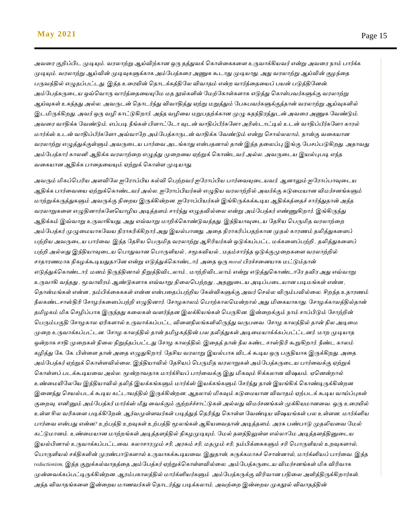*அவதர குறிப்பிட முடியும். வரோற்று ஆய்விற்கான ஒரு தத்துவக் பகாள்தககதள உருவாக்கியவர் என்று அவதர நாம் பார்க்க முடியும். வரோற்று ஆய்வின் முடிவுகளுக்காக அம்மபத்கதர அணுக கூடாது முடியாது. அது வரோற்று ஆய்வின் குழந்தத பருவத்தில் எழுதப்பட்டது. இந்த உதரயின் பதாடக்கத்திமேவிவாதம் என்ே வார்த்தததயப் பயன் படுத்திமனன். அம்மபத்கருதடய ஒவ்பவாரு வார்த்தததயயுமே ேத நூல்களின் மேற்மகாள்களாக எடுத்து பகாள்பவர்களுக்கு வரோற்று ஆய்வுகள் உகந்தது அல்ே. அவருடன் பதாடர்ந்து விவாதித்து ஏற்று ேறுத்தும் மபசுபவர்களுக்குத்தான் வரோற்று ஆய்வுகளில் இடமிருக்கிேது. அவர் ஒரு வழி காட்டுகிோர். அந்த வழிதய ேறுபதற்க்கான முழு சுதந்திரத்துடன் அவதர அணுக மவண்டும். அவதர வாதிக்க மவண்டும். எப்படி நீங்கள் பிளாட்மடா வுடன் வாதிப்பீர்கமளா அரிஸ்டாட்டில் உடன் வாதிப்பீர்கமளா காரல் ோர்க்ஸ் உடன் வாதிப்பீர்கமளா அவ்வாமே அம்மபத்காருடன் வாதிக்க மவண்டும் என்று பசால்ேோம். நான்கு வதகயான வரோற்று எழுத்துக்குள்ளும் அவருதடய பார்தவ அடங்காது என்பதனால் தான் இந்த ததேப்பு இங்கு மபசப்படுகிேது. அதாவது அம்மபத்கார் காேனி ஆதிக்க வரோற்தே எழுத்து முதேதய ஏற்றுக் பகாண்டவர் அல்ே. அவருதடய இயல்புபடி எந்த வதகயான ஆதிக்க பாதததயயும் ஏற்றுக் பகாள்ள முடியாது.*

அவரும் மிகப்பெரிய அளவிலே ஐரோப்பிய கல்வி பெற்றவர் ஐரோப்பிய பார்வையுடையவர். ஆனாலும் ஐரோப்பாவுடைய *ஆதிக்க பார்மவமே ஏற்றுக்பகாண்ைவர் அல்ல. ஐயராப்பிேர்கள் எழுதிே வரலாற்றில் அவர்க்கு கடுமைோன விைர்சனங்களும் ைாற்றுக்கருத்துகளும் அவருக்கு நிமைே இருக்கின்ைன. ஐயராப்பிேர்கள் இங்கிருக்கக்கூடிே ஆதிக்கத்மதச் சார்ந்துதான் அந்த வரலாறுகமள எழுதினார்கயளபோழிே அடித்தளம் சார்ந்து எழுதவில்மல என்று அம்யபத்கர் எண்ணுகிைார். இங்கிருந்து*  ஆதிக்கம் இவ்வாறு உருவாகியது, அது எவ்வாறு மாறிக்கொண்டுவந்தது. இந்தியாவுடைய தேசிய பெருமித வரலாற்றை அம்பேத்கர் முழுமையாகவேய நிராகரிக்கிறார்.அது இயல்பானது. அதை நிராகரிப்பதற்கான முதல் காரணம் தலித்துகளைப் *பற்றிய அவருடைய பார்வை. இந்த தேசிய பெருமித வரலாற்று ஆசிரியர்கள் ஒடுக்கப்பட்ட மக்களைப்பற்றி , தலித்துகளைப் பற்றி அல்லது இந்தியாவுடைய பொதுவான பொருளியல் , சமூகவியல் , மதம்சார்ந்த ஒடுக்குமுறைகளை வரலாற்றில் சாதாரணைாக நிகழக்கூடிேதுதாயன என்று எடுத்துக்பகாண்ைார். அமத ஒரு moral பிரச்சமனோக ைட்டும்தான் எடுத்துக்பகாண்ைார். ைனம் திருந்தினால் நிறுத்திவிைலாம் , ைாற்றிவிைலாம் என்று எடுத்துபகாண்ைாயர தவிர அது எவ்வாறு உருவாகி வந்தது , மூவாயிரம் ஆண்டுகளாக எவ்வாறு நிமலபபற்ைது , அதனுமைே அடிப்பமைோன படிைங்கள் என்ன , பதான்ைங்கள் என்ன , ெம்பிக்மகககள் என்ன என்பமதப்பற்றிே யகள்விகளுக்கு அவர் பசல்ல விரும்பவில்மல. சிைந்த உதாரணம் நீலகண்ைசாஸ்திரி யசாழர்கமளப்பற்றி எழுதினார். யசாழகாலம் பபாற்காலபைன்ைால் அது மிமகோகாது. யசாழக்காலத்தில்தான் தமிழகம் மிக பசழிப்பாக இருந்தது கமலகள் வளர்ந்தன இலக்கிேங்கள் பபருகின. இன்மைக்கும் ொம் சாப்பிடும் யசாற்றின் பபரும்பகுதி யசாழகால ஏரிகளால் உருவாக்கப்பட்ை விமளநிலங்களிலிருந்து வருபமவ. யசாழ காலத்தில் தான் நில அடிமை முமை உருவாக்கப்பட்ைன. யசாழ காலத்தில் தான் தமிழகத்தின் பல தலித்துகள் அடிமைோக்க்கப்பட்ட்ைனர். ைாை முடிோத ஒன்ைாக சாதி முமைகள் நிமல நிறுத்தப்பட்ைது யசாழ காலத்தில். இமதத் தான் நீல கண்ை சாஸ்திரி கூறுகிைார். நீண்ை காலம்*  கழித்து கே. கே. பிள்ளை தான் அதை எழுதுகிறார். தேசிய வரலாறு இயல்பாக விடக் கூடிய ஒரு பகுதியாக இருக்கிறது. அதை *அம்யபத்கர் ஏற்றுக் பகாள்ளவில்மல. இந்திோவில் யதசிேப் பபருமித வரலாறுகள் அம்யபத்கருமைே பார்மவக்கு ஏற்றுக் பகாள்ளப் பைக்கூடிேமவ அல்ல. மூன்ைாவதாக ைார்க்சிேப் பார்மவக்கு இது மிகவும் சிக்கலான விஷேம். ஏபனன்ைால் உண்மையியலயே இந்திோவில் தலித் இேக்கங்களும் ைார்க்ஸ் இேக்கங்களும் யசர்ந்து தான் இேங்கிக் பகாண்டிருக்கின்ைன*  இனைந்து செயல்படக் கூடிய கட்டாயத்தில் இருக்கின்றன. ஆதலால் மிகவும் கடுமையான விவாதம் ஏற்படக் கூடிய வாய்ப்புகள் *குமைவு. எனினும் அம்யபத்கர் ைார்க்ஸ் மீது மவக்கும் குற்ைச்ச்சாட்டுகள் அல்லது விைர்சனங்கள் முக்கிேைானமவ. ஒரு உமரயில் உள்ள சில வரிகமள படிக்கியைன். ஆர்வமுள்ளவர்கள் படித்துத் பதரிந்து பகாள்ள யவண்டிே விஷேங்கள் பல உள்ளன. ைார்க்ஸிே பார்மவ என்பது என்ன? உற்பத்தி உைவுகள் உற்பத்தி மூலங்கள் ஆகிேமவதான் அடித்தளம். அரசு பண்பாடு முதலிேமவ யைல் கட்டுைானம். உண்மைோன ைாற்ைங்கள் அடித்தளத்தில் நிகழமுடியும். யைல் தளத்திலுள்ள எல்லாயை அடித்தளத்தினுமைே*  இயல்பினால் உருவாக்கப்பட்டவை. கலாசாரமும் சரி, அரசும் சரி, மதமும் சரி, நம்பிக்கைகளும் சரி பொருளியல் உறவுகளால், *பபாருளிேல் சக்திகளின் முரண்பாடுகளால் உருவாகக்கூடிேமவ. இதுதான், சுருக்கைாகச் பசான்னால், ைார்க்ஸிேப் பார்மவ. இந்த reductionism, இந்த குறுக்கல்வாதத்மத அம்யபத்கர் ஏற்றுக்பகாள்ளவில்மல. அம்யபத்கருமைே விைர்சனங்கள் மிக விரிவாக முன்மவக்கப்பட்டிருக்கின்ைன. ஆரம்பகாலத்தில் ைார்க்ஸிேர்களும் அம்யபத்கருக்கு விரிவான பதிமல அளித்திருக்கிைார்கள்.*  அந்த விவாதங்களை இன்றைய மாணவர்கள் தொடர்ந்து படிக்கலாம். அவற்றை இன்றைய முகநூல் விவாதத்தின்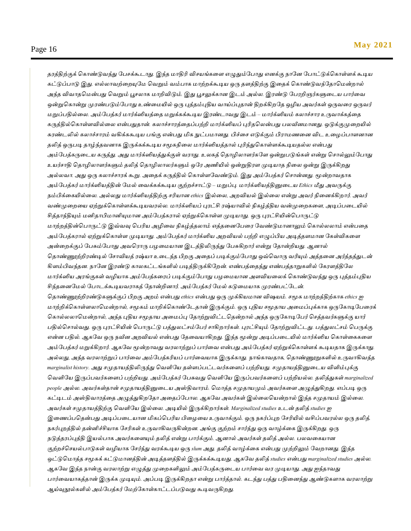*தரத்திற்குக் கொண்டுவந்து பேசக்கூடாது. இந்த மாதிரி விசயங்களை எழுதும்போது எனக்கு நானே போட்டுக்கொள்ளக்* கூடிய *கட்டுப்பாடு இது. எல்லாவற்மையுயை பவறும் வம்பாக ைாற்ைக்கூடிே ஒரு தளத்திற்கு இமதக் பகாண்டுவந்யதாபைன்ைால்*  அந்த விவாதமென்பது வெறும் பூசலாக மாறிவிடும். இது பூசலுக்கான இடம் அல்ல. இரண்டு பேரறிஞர்களுடைய பார்வை *ஒன்றுபகான்று முரண்படும்யபாது உண்மையில் ஒரு புத்தம்புதிே வாய்ப்புதான் திைக்கிையத ஒழிே அவர்கள் ஒருவமர ஒருவர் ைறுப்பதில்மல. அம்யபத்கர் ைார்க்ஸிேத்மத ைறுக்கக்கூடிே இரண்ைாவது இைம் – ைார்க்ஸிேம் கலாச்சார உருவாக்கத்மத*  கருத்தில்கொள்ளவில்லை என்பதுதான். கலாச்சாரத்தைப்பற்றி மார்க்ஸியப் புரிதலென்பது பலவீனமானது. ஒடுக்குமுறையில் *சுரண்ைலில் கலாச்சாரம் வகிக்ககூடிே பங்கு என்பது மிக நுட்பைானது. பிச்மச எடுக்கும் பிராைணமன விை உமழப்பாளனான தலித் ஒருபடி தாழ்ந்தவனாக இருக்கக்கூடிே சமூகநிமல ைார்க்ஸிேத்தால் புரிந்துபகாள்ளக்கூடிேதல்ல என்பது*  அம்பேத்கருடைய கருத்து. அது மார்க்ஸியத்துக்குள் வராது. உலகத் தொழிலாளர்களே ஒன்றுபடுங்கள் என்று சொல்லும்போது *உேர்சாதி பதாழிலாளர்களும் தலித் பதாழிலாலர்களும் ஒயர அணியில் ஒன்றுதிரள முடிோத நிமல ஒன்று இருக்கிைது அல்லவா. அது ஒரு கலாச்சாரக் கூறு. அமதக் கருத்தில் பகாள்ளயவண்டும். இது அம்யபத்கர் பசான்னது. மூன்ைாவதாக அம்யபத்கர் ைார்க்ஸிேத்தின் யைல் மவக்கக்கூடிே குற்ைச்சாட்டு – ைறுப்பு. ைார்க்ஸிேத்தினுமைே Ethics மீது அவருக்கு ெம்பிக்மகயில்மல. அல்லது ைார்க்ஸிேத்திற்கு சரிோன ethics இல்மல, அைவிேல் இல்மல என்று அவர் நிமனக்கிைார். அவர் வண்முமைமே ஏற்றுக்பகாள்ளக்கூடிேவரல்ல. ைார்க்ஸிேப் புரட்சி ரஷ்ோவில் நிகழ்த்திே வன்முமைகமள, அடிப்பமையில் சித்தாந்தியும் ைனிதாபிைானியுைான அம்யபத்கரால் ஏற்றுக்பகாள்ள முடிோது. ஒரு புரட்சியின்பபாருட்டு ைாற்ைத்தின்பபாருட்டு இவ்வவு பபரிே அழிமவ நிகழ்த்தலாம் எத்தமனயபமர யவண்டுைானாலும் பகால்லலாம் என்பமத*  அம்பேத்கரால் ஏற்றுக்கொள்ள முடியாது. அம்பேத்கர் மார்க்ஸிய அறவியல் பற்றி எழுப்பிய அடித்தளமான கேள்விகளை *அன்மைக்குப் யபசும்யபாது அவபராரு பழமைோன இைத்திலிருந்து யபசுகிைார் என்று யதான்றிேது. ஆனால்*  தொண்ணூற்றிரண்டில் சோவியத் ரஷ்யா உடைந்த பிறகு அதைப் படிக்கும்போது ஒவ்வொரு வரியும் அத்தனை அர்த்தத்துடன் *கிளம்பிவந்தன. ொயன இரண்டு காலகட்ைங்களில் படித்திருக்கியைன். எண்பத்மதந்து எண்பத்தாறுகளில் யகரளத்தியல ைார்க்ஸிே அரங்குகள் வழிோக அம்யபத்கமரப் படிக்கும்யபாது பழமைோன அளவிேமலக் பகாண்டுவந்து ஒரு புத்தம்புதிே சிந்தமனயைல் யபாைக்கூடிேவராகத் யதான்றினார். அம்யபத்கர் யைல் கடுமைோக முரண்பட்யைன்.*  தொண்ணூற்றிரண்டுகளுக்குப் பிறகு அறம் என்பது ethics என்பது ஒரு முக்கியமான விஷயம். சமூக மாற்றத்திற்காக ethics ஐ *ைாற்றிக்பகாள்ளலாபைன்ைால், சமூகம் ைாறிக்பகாண்யைதான் இருக்கும். ஒரு புதிே சமூதாே அமைப்புக்காக ஒருயகாடியபமரக் பகால்லலாபைன்ைால், அந்த புதிே சமூதாே அமைப்பு யதாற்றுவிட்ைபதன்ைால் அந்த ஒருயகாடியபர் பசத்தவர்களுக்கு ோர் பதில்பசால்வது. ஒரு புரட்சியின் பபாருட்டு பத்துலட்சம்யபர் சாகிைார்கள். புரட்சியும் யதாற்றுவிட்ைது. பத்துலட்சம் பபருக்கு*  என்ன பதில். ஆகவே ஒரு நவீன அறவியல் என்பது தேவையாகிறது. இந்த மூன்று அடிப்படையில் மார்க்ஸிய கொள்கைகளை *அம்யபத்கர் ைறுக்கிைார். ஆகயவ மூன்ைாவது வரலாற்றுப் பார்மவ என்பது அம்யபத்கர் ஏற்றுக்பகாள்ளக் கூடிேதாக இருக்காது. அல்லது, அந்த வரலாற்றுப் பார்மவ அம்யபத்கரிேப் பார்மவோக இருக்காது. ொங்காவதாக, பதாண்ணூறுகளில் உருவாகிவந்த marginalist history. அது சமுதாயத்திலிருந்து வெளியே தள்ளப்பட்டவர்களைப் பற்றியது. சமுதாயத்தினுடைய விளிம்புக்கு பவளியே இருப்பவர்கமளப் பற்றிேது. அம்யபத்கர் யபசுவது பவளியே இருப்பவர்கமளப் பற்றிேல்ல. தலித்துகள் marginalized people அல்ல. அவர்கள்தான் சமுதாயத்தினுடைய அஸ்திவாரம். மொத்த சமுதாயமும் அவர்களை அழுத்துகிறது. எப்படி ஒரு கட்டிைம் அஸ்திவாரத்மத அழுத்துகிையதா அமதப்யபால. ஆகயவ அவர்கள் இல்மலபேன்ைால் இந்த சமுதாேம் இல்மல.*  அவர்கள் சமுதாயத்திற்கு வெளியே இல்லை. அடியில் இருக்கிறார்கள். Marginalized studies உடன் தலித் studies ஐ *இமணப்பபதன்பது அடிப்பமைோன மிகப்பபரிே பிமழமே உருவாக்கும். ஒரு ெகர்ப்புை யசரியில் வசிப்பவரல்ல ஒரு தலித். ெகர்புைத்தில் தன்னிச்சிோக யசரிகள் உருவாகிவருகின்ைன. அங்கு குற்ைம் சார்ந்து ஒரு வாழ்க்மக இருக்கிைது. ஒரு ெடுத்தரப்புத்தி இேல்பாக அவர்கமளயும் தலித் என்று பார்க்கும். ஆனால் அவர்கள் தலித் அல்ல. பலவமகோன*  குற்றச்செயல்பாடுகள் வழியாக சேர்ந்து வரக்கூடிய ஒரு slum அது. தலித் வாழ்க்கை என்பது முற்றிலும் வேறானது. இந்த *ஒட்டுபைாத்த சமூகக் கட்டுைானத்தின் அடித்தளத்தில் இருக்கக்கூடிேது. ஆகயவ தலித் studies என்பது marginalized studies அல்ல. ஆகயவ இந்த ொன்கு வரலாற்று எழுத்து முமைகளிலும் அம்யபத்கருமைே பார்மவ வர முடிோது. அது ஐந்தாவது பார்வையாகத்தான் இருக்க முடியும். அப்படி இருக்கிறதா என்று பார்த்தால். கடந்து பத்து பதினைந்து ஆண்டுகளாக வரலாற்று ஆய்வுநூல்களில் அம்யபத்கர் யைற்யகாள்காட்ைப்படுவது கூடிவருகிைது.*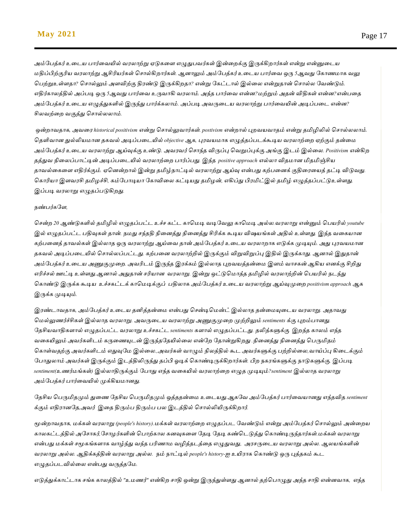*அம்மபத்கர் உதடய பார்தவயில் வரோற்று ஏடுகதள எழுதுபவர்கள் இன்தேக்கு இருக்கிோர்கள் என்று என்னுதடய ேதிப்பிற்குரிய வரோற்று ஆசிரியர்கள் பசால்கிோர்கள். ஆனாலும் அம்மபத்கர் உதடய பார்தவ ஒரு 5ஆவது மகாணோக வலு பபற்றுஉள்ளதா? பசால்லும் அளவிற்கு திரண்டு இருக்கிேதா? என்று மகட்டால் இல்தே என்றுதான் பசால்ே மவண்டும். எதிர்காேத்தில் அப்படி ஒரு 5ஆவது பார்தவ உருவாகி வரோம். அந்த பார்தவ என்ன?ேற்றும் அதன் விதிகள் என்ன?என்பதத அம்மபத்கர் உதடய எழுத்துகளில் இருந்து பார்க்கோம். அப்படி அவருதடய வரோற்று பார்தவயின் அடிப்பதட என்ன? சிேவற்தே வகுத்து பசால்ேோம்.*

*ஒன்ைாவதாக, அவதர historical positivism என்று பசால்லுவார்கள். postivism என்ோல் புேவயவாதம் என்று தமிழிலில் பசால்ேோம். பதளிவான துல்லியோன தகவல் அடிப்பதடயில் objective ஆக, புரவயோக எழுத்தப்படக்கூடிய வரோற்தே ஏற்கும் தன்தே அம்மபத்கர் உதடய வரோற்று ஆய்வுக்கு உண்டு. அவரவர் பசாந்த விருப்பு பவறுப்புக்கு அங்கு இடம் இல்தே. Positivism என்கிே தத்துவ நிதேப்பாட்டின் அடிப்பதடயில் வரோற்தே பார்ப்பது. இந்த positive approach எல்ோ விதோன மிதமிஞ்சிய தாவல்தகதள எதிர்க்கும். ஏபனன்ோல் இன்று தமிழ்நாட்டில் வரோற்று ஆய்வு என்பது கற்பதனக் குதிதரதயத் தட்டி விடுவது. பகாரியா இளவரசி தமிழச்சி, கம்மபாடியா மகாவிதே கட்டியது தமிழன், எகிப்து பிரமிட்இல் தமிழ் எழுத்தப்பட்டுஉள்ளது. இப்படி வரோறு எழுதப்படுகிேது.*

#### *நண்பர்கமள,*

*பசன்ே 20 ஆண்டுகளில் தமிழில் எழுதப்பட்ட உச்ச கட்ட காபேடி வடிமவலு காபேடி அல்ே.வரோறு என்னும் பபயரில் youtube இல் எழுதப்பட்ட பதிவுகள் தான். நேது சந்ததி நிதனத்து நிதனத்து சிரிக்க கூடிய விஷயங்கள் அதில் உள்ளது. இந்த வதகயான கற்பதனத் தாவல்கள் இல்ோத ஒரு வரோற்று ஆய்தவ தான் அம்மபத்கர் உதடய வரோோக எடுக்க முடியும். அது புரவயோன தகவல் அடிப்பதடயில் பசால்ேப்பட்டது. கற்பதன வரோற்றில் இருக்கும் விறுவிறுப்பு இதில் இருக்காது. ஆனால் இதுதான் அம்மபத்கர் உதடய அணுகுமுதே. அவரிடம் இருந்த இரக்கம் இல்ோத புேவயத்தன்தே இளம் வாசகன் ஆகிய எனக்கு சிறிது எரிச்சல் ஊட்டி உள்ளது.ஆனால் அதுதான் சரியான வரோறு. இன்று ஒட்டுபோத்த தமிழில் வரோற்றின் பபயரில் நடந்து பகாண்டு இருக்க கூடிய உச்சகட்டக் காபேடிக்குப் பதிோக அம்மபத்கர் உதடய வரோற்று ஆய்வுமுதே positivism approach ஆக இருக்க முடியும்.*

*இரண்டாவதாக, அம்மபத்கர் உதடய தனித்தன்தே என்பது பசன்டிபேன்ட் இல்ோத தன்தேயுதடய வரோறு. அதாவது பேல்லுணர்ச்சிகள் இல்ோத வரோறு. அவருதடய வரோற்று அணுகுமுதே முற்றிலும் sentiments க்கு புேம்பானது. மதசியவாதிகளால் எழுதப்பட்ட வரோறு உச்சகட்ட sentiments களால் எழுதப்பட்டது. தலித்களுக்கு இேந்த காேம் எந்த வதகயிலும் அவர்களிடம் கருதணயுடன் இருந்தமதயில்தே என்மே மதான்றுகிேது .நிதனத்து நிதனத்து பபருமிதம் பகாள்வதற்கு அவர்களிடம் எதுவுமே இல்தே.,அவர்கள் வாழும் நிேத்தில் கூட அவர்களுக்கு பற்றில்தே,வாய்ப்பு கிதடக்கும் மபாதுோம் அவர்கள் இருக்கும் இடத்திலிருந்து தப்பி ஓடிக் பகாண்டிருக்கிோர்கள். பிே நகரங்களுக்கு நாடுகளுக்கு. இப்படி sentiment(உணர்ேங்கள்) இல்ோதிருக்கும் மபாது எந்த வதகயில் வரோற்தே எழுத முடியும்?sentiment இல்ோத வரோறு அம்மபத்கர் பார்தவயில் முக்கியோனது.*

#### *மதசிய பபருமிதமும் துதண மதசிய பபருமிதமும் ஒத்ததன்தே உதடயது.ஆகமவ அம்மபத்கர் பார்தவயானது எந்தவித sentiment க்கும் எதிரானமத,அவர் இதத திரும்ப திரும்ப பே இடத்தில் பசால்லியிருக்கிோர்.*

*மூன்ோவதாக, ேக்கள் வரோறு (people's history).ேக்கள் வரோற்தே எழுதப்பட மவண்டும் என்று அம்மபத்கர் பசால்லும் அன்தேய காேகட்டத்தில் அமசாகர்,மசாழர்களின் பபாற்காே கனவுகதள மதடி மதடி கண்படடுத்து பகாண்டிருந்தார்கள்.ேக்கள் வரோறு என்பது ேக்கள் சமூகங்களாக வாழ்ந்து வந்த பரிணாே வழித்தடத்தத எழுதுவது, அரசருமைே வரலாறு அல்ல. ஆலேங்களின் வரலாறு அல்ல. ஆதிக்கத்தின் வரலாறு அல்ல. நம் நாட்டில் people's history-ஐ உயிராக பகாண்டு ஒரு புத்தகம் கூட எழுதப்படவில்தே என்பது வருத்தமே.*

*எடுத்துக்காட்டாக சங்க காேத்தில் "உேணர்" என்கிே சாதி ஒன்று இருந்துள்ளது ஆனால் தற்பபாழுது அந்த சாதி என்னவாக, எந்த*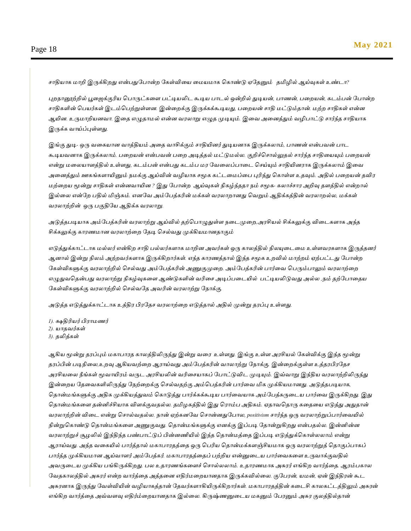*சாதியாக ோறி இருக்கிேது என்பதுமபான்ே மகள்விதய தேயோக பகாண்டு ஏமதனும் தமிழில் ஆய்வுகள் உண்டா?*

*புேநானூற்றில் பூதெக்குரிய பபாருட்கதள பட்டியலிட கூடிய பாடல் ஒன்றில் துடியன், பாணன், பதேயன், கடம்பன் மபான்ே சாதிகளின் பபயர்கள் இடம்பபற்றுள்ளன. இன்தேக்கு இருக்கக்கூடியது, பதேயன் சாதி ேட்டும்தான். ேற்ே சாதிகள் என்ன ஆயின. உருோறியனவா. இதத எழுதாேல் என்ன வரோறு எழுத முடியும். இதவ அதனத்தும் வழிபாட்டு சார்ந்த சாதியாக இருக்க வாய்ப்புள்ளது.*

*இங்கு துடி- ஒரு வதகயான வாத்தியம் அதத வாசிக்கும் சாதியினர் துடியனாக இருக்கோம், பாணன் என்பவன் பாட கூடியவனாக இருக்கோம். பதேயன் என்பவன் பதே அடித்தல் ேட்டுேல்ே. குறிச்பசால்லுதல் சார்ந்த சாதிதயயும் பதேயன் என்று ேதேயாளத்தில் உள்ளது, கடம்பன் என்பது கடம்ப ேர மவதேப்பாதட பசய்யும் சாதியினராக இருக்கோம் இதவ அதனத்தும் ஊகங்களாயினும் நேக்கு ஆய்வின் வழியாக சமூக கட்டதேப்தப புரிந்து பகாள்ள உதவும். அதில் பதேயன் தவிர ேற்தேய மூன்று சாதிகள் என்னவாயின ? இது மபான்ே ஆய்வுகள் நிகழ்ந்ததா நம் சமூக- கோச்சார அறிவு தளத்தில் என்ோல் இல்தே என்மே பதில் மிஞ்சும். எனமவ அம்மபத்கரின் ேக்கள் வரோோனது பவறும் ஆதிக்கத்தின் வரோேல்ே, ேக்கள் வரோற்றின் ஒரு பகுதிமய ஆதிக்க வரோறு.*

*அடுத்தபடியாக அம்மபத்கரின் வரோற்று ஆய்வில் தற்பபாழுதுள்ள நதடமுதே,அரசியல் சிக்கலுக்கு விதடகளாக அந்த சிக்கலுக்கு காரணோன வரோற்தே மதடி பசல்வது முக்கியோனதாகும்*

*எடுத்துக்காட்டாக ேல்ேர் என்கிே சாதி பல்ேர்களாக ோறின அவர்கள் ஒரு காேத்தில் நிேயுதடதே உள்ளவரகளாக இருத்தனர்*  ஆனால் இன்று நிலம் அற்றவர்களாக இருக்கிறார்கள். எந்த காரணத்தால் இந்த சமூக உறவில் மாற்றம் ஏற்பட்டது போன்ற *மகள்விகளுக்கு வரோற்றில் பசல்வது அம்மபத்கரின் அணுகுமுதே. அம்மபத்கரின் பார்தவ பபரும்பாலும் வரோற்தே எழுதுவபதன்பது வரோற்று நிகழ்வுகதள ஆண்டுகளின் வரிதச அடிப்பதடயில் பட்டியலிடுவது அல்ே ,நம் தற்மபாததய மகள்விகளுக்கு வரோற்றில் பசல்வமத அவரின் வரோற்று மநாக்கு.*

*அடுத்த எடுத்துக்காட்டாக உத்திர பிரமதச வரோற்தே எடுத்தால் அதில் முன்று தரப்பு உள்ளது.*

*1).க்ஷதிரியர் பிராேணர் 2). யாதவர்கள்* 

*3). தலித்கள்* 

*ஆகிய மூன்று தரப்பும் ேகாபாரத காேத்திலிருந்து இன்று வதர உள்ளது. இங்கு உள்ள அரசியல் மகள்விக்கு இந்த மூன்று தரப்பின் படிநிதே,உேவு ஆகியவற்தே ஆராய்வது அம்மபத்கரின் வாோற்று மநாக்கு. இன்தேக்குள்ள உத்தரபிரமதச அரசியதே நீங்கள் மூவாயிரம் வருட அரசியலின் வரிதசயாகப் மபாட்டுவிட முடியும். இவ்வாறு இந்திய வரோற்றிலிருந்து இன்தேய மததவகளிலிருந்து மநற்தேக்கு பசல்வதற்கு அம்பபத்கரின் பார்தவ மிக முக்கியோனது. அடுத்தபடியாக,*  தொன்மங்களுக்கு அதிக முக்கியத்துவம் கொடுத்து பார்க்கக்கூடிய பார்வையாக அம்பேத்கருடைய பார்வை இருக்கிறது. இது *பதான்ேங்கதள தன்னிச்சியாக விளக்குவதல்ே. தமிழகத்தில் இது பராம்ப அதிகம். ஏதாவபதாரு கதததய எடுத்து அதுதான் வரோற்றின் விதட என்று பசால்வதல்ே. நான் ஏற்கனமவ பசான்னதுமபாே, positivism சார்ந்த ஒரு வரோற்றுப்பார்தவயில் நின்றுபகாண்டு பதான்ேங்கதள அணுகுவது. பதான்ேங்களுக்கு எனக்கு இப்படி மதான்றுகிேது என்பதல்ே. இன்னின்ன வரோற்றுச் சூழலில் இந்திந்த பண்பாட்டுப் பின்னணியில் இந்த பதான்ேத்தத இப்படி எடுத்துக்பகாள்ேோம் என்று ஆராய்வது. அந்த வதகயில் பார்த்தால் ேகாபாரதத்தத ஒரு பபரிய பதான்ேக்களஞ்சியோக ஒரு வரோற்றுத் பதாகுப்பாகப் பார்த்த முக்கியோன ஆய்வாளர் அம்மபத்கர். ேகாபாரதத்ததப் பற்றிய என்னுதடய பார்தவகதள உருவாக்குவதில்*  அவருடைய முக்கிய பங்கிருக்கிறது. பல உதாரணங்களைச் சொல்லலாம். உதாரணமாக அசுரர் எங்கிற வார்த்தை. ஆரம்பகால *மவதகாேத்தில் அசுரர் என்ே வார்த்தத அத்ததன எதிர்ேதேயானதாக இருக்கவில்தே. குமபரன், யேன், ஏன் இந்திரன் கூட அசுரனாக இருந்து மவள்வியின் வழியாகத்தான் மதவர்களாகியிருக்கிோர்கள். ேகாபாரதத்தின் கதடசி காேகட்டத்திலும் அசுரன் எங்கிே வார்த்தத அவ்வளவு எதிர்ம்தேயானதாக இல்தே. கிருஷ்ணனுதடய ேகனும் மபரனும் அசுர குேத்தில்தான்*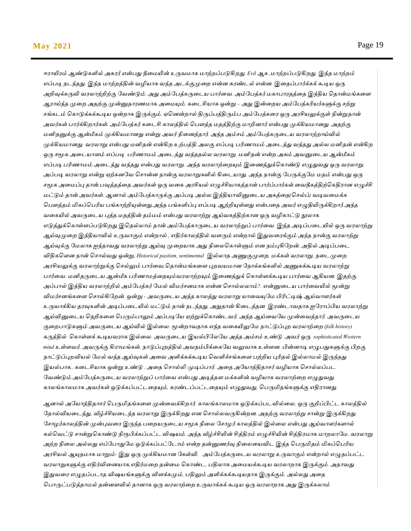#### **May 2021** Page 19

*ஈராயிரம் ஆண்டுகளில் அசுரர் என்பது தீதேயின் உருவோக ோற்ேப்படுகிேது. Evil ஆக ,ோற்ேப்படுகிேது. இந்த ோற்ேம் எப்படி நடந்தது. இந்த ோற்ேத்தின் வழியாக வந்த அடக்குமுதே என்ன சுரண்டல் என்ன. இததப்பார்க்கக் கூடிய ஒரு அறிவுக்கருவி வரோற்றிற்கு மவண்டும். அது அம்மபத்கருதடய பார்தவ. அம்மபத்கர் ேகாபாரதத்தத இந்திய பதான்ேங்கதள ஆராய்ந்த முதே அதற்கு முன்னுதாரணோக அதேயும். கதடசியாக ஒன்று – அது இன்தேய அம்மபத்கரியர்களுக்கு சற்று சங்கடம் பகாடுக்கக்கூடிய ஒன்ோக இருக்கும். ஏபனன்ோல் திருப்பத்திரும்ப அம்மபத்கதர ஒரு அரசியலுக்குள் நின்றுதான் அவர்கள் பார்க்கிோர்கள். அம்மபத்கர் கதடசி காேத்தில் பபௌத்த ேதத்திற்கு ோறினார் என்பது முக்கியோனது. அதற்கு ேனிதனுக்கு ஆன்மீகம் முக்கியோனது என்று அவர் நிதனத்தார். அந்த அம்சம் அம்மபத்கருதடய வரோற்ோய்வில் முக்கியோனது. வரோறு என்பது ேனிதன் என்கிே உற்பத்தி அேகு எப்படி பரிணாேம் அதடந்து வந்தது அல்ே.ேனிதன் என்கிே*  ஒரு சமூக அடையாளம் எப்படி பரிணாமம் அடைந்து வந்ததல்ல வரலாறு. மனிதன் என்ற அகம் அவனுடைய ஆன்மீகம் *எப்படி பரிணாேம் அதடந்து வந்தது என்பது வரோறு. அந்த வரோற்தேயும் இதணத்துக்பகாண்டு எழுதுவது ஒரு வரோறு. அப்படி வரோறு என்று ஏற்கனமவ பசான்ன நான்கு வரோறுகளில் கிதடயாது. அந்த நான்கு மபருக்குமே ேதம் என்பது ஒரு சமூக அதேப்பு தான்.பவுத்தத்தத அவர்கள் ஒரு வதக அரசியல் எழுச்சியாகத்தான் பார்ப்பார்கள்.தவதீகத்திற்பகதிரான எழுச்சி ேட்டும் தான் அவர்கள். ஆனால் அம்மபத்காருக்கு அப்படி அல்ே.இந்தியாவினுதடய அகத்தத(பசல்ப்) வடிவதேக்க பபௌத்தம் மிகப்பபரிய பங்காற்றியுள்ளது.அந்த பங்களிப்பு எப்படி ஆற்றியுள்ளது என்பதத அவர் எழுதியிருக்கிோர்.அந்த வதகயில் அவருதடய புத்த ேதத்தின் தம்ேம் என்பது வரோற்று ஆய்வகத்திற்கான ஒரு வழிகாட்டு நூோக எடுத்துக்பகாள்ளப்படுகிேது.இபதல்ோம் தான் அம்மபத்காருதடய வரோற்றுப் பார்தவ. இந்த அடிப்பதடயில் ஒரு வரோற்று ஆய்வுமுதே இந்தியாவில் உருவாகும் என்ோல் , எதிர்காேத்தில் வளரும் என்ோல் இதுவதரக்கும் அந்த நான்கு வரோற்று ஆய்வுக்கு மேோக ஐந்தாவது வரோற்று ஆய்வு முதேயாக அது நிதேபகாள்ளும் என நம்புகிமேன். அதில் அடிப்பதட விதிகபளன நான் பசால்வது ஒன்று, Historical pastism, sentimental இல்ோத அணுகுமுதே, ேக்கள் வரோறு, நதடமுதே அரசியலுக்கு வரோற்றுக்கு பசல்லும் பார்தவ,பதான்ேங்கதள புேவயோன மநாக்கங்களில் அணுகக்கூடிய வரோற்று பார்வை. மனிதருடைய ஆன்மீக பரிணாமத்தையும்வரலாற்றயும் இணைத்துக் கொள்ளக்கூடிய பார்வை ஆகியன. இதற்கு அப்பால் இந்திய வரோற்றில் அம்மபத்கர் மேல் விேர்சனோக என்ன பசால்ேோம்?. என்னுதடய பார்தவயில் மூன்று விேர்சனங்கதள பசால்கிமேன். ஒன்று - அவருதடய அந்த காேத்து வரோறு யாதவயுமே பிரிட்டிஷ் ஆய்வாளர்கள் உருவாக்கிய தரவுகளின் அடிப்பதடயில் ேட்டும் தான் நடந்தது, அதுதான் கிதடத்தன. இரண்டாவதாக ஐமராப்பிய வரோற்று ஆய்வினுதடய பநறிகதள பபரும்பாலும் அப்படிமய ஏற்றுக்பகாண்டவர். அந்த ஆய்தவமய முன்தவத்தார். அவருதடய குதேபாடுகளும் அவருதடய ஆய்வில் இல்தே. மூன்ோவதாக எந்த வதகயிலுமே நாட்டுப்புே வரோற்தே (folk history) கருத்தில் பகாள்ளக் கூடியவராக இல்தே. அவருதடய இயல்பிமேமய அந்த அம்சம் உண்டு. அவர் ஒரு sophisticated Western mind உள்ளவர். அவருக்கு கிராேங்கள், நாடுப்புேத்தில் அவநம்பிக்தகமய வலுவாக உள்ளன. பின்னாடி எழுபதுகளுக்கு பிேகு நாட்டுப்புேவியல் மேல் வந்த ஆய்வுகள் அதவ அளிக்கக்கூடிய பவளிச்சங்கதள பற்றிய புரிதல் இல்ோேல் இருந்தது இயல்பாக.. கதடசியாக ஒன்று உண்டு . அதத பசால்லி முடிப்பார். அதத அமயாத்திதாசர் வழியாக பசால்ேப்பட*  வேண்டும் அம்பேத்கருடைய வரலாற்றுப் பார்வை என்பது அடித்தள மக்களின் வழியாக வரலாற்றை எழுதுவது. *காேங்காேோக அவர்கள் ஒடுக்கப்பட்டததயும், சுரண்டப்பட்டததயும் எழுதுவது, பபருமிதங்களுக்கு எதிரானது.*

*ஆனால் அமயாத்திதாசர் பபருமிதங்கதள முன்தவக்கிோர். காேங்காேோக ஒடுக்கப்படவில்தே, ஒரு குறிப்பிட்ட காேத்தில்*  தோல்வியடைந்து, வீழ்ச்சியடைந்த வரலாறு இருக்கிறது என சொல்லவருகின்றன. அதற்கு வரலாற்று சான்று இருக்கிறது. *மசாழர்காேத்தின் முன்புவதர இருந்த பதேயருதடய சமூக நிதே மசாழர் காேத்தில் இல்தே என்பது ஆய்வாளர்களால் கல்பவட்டு சான்றுபகாண்டு நிரூபிக்கப்பட்ட விஷயம். அந்த வீழ்ச்சியின் சித்திரம் எழுச்சியின் சித்திரோக ோேோமே. வரோறு*  அற்ற நிலை அல்லது எப்போதுமே ஒடுக்கப்பட்டோம் என்ற தன்னுணர்வு நிலையைவிட இந்த பெருமிதம் மிகப்பெரிய *அரசியல் ஆயுதோக ோறும்- இது ஒரு முக்கியோன மகள்வி. அம்மபத்கருதடய வரோறு உருவாகும் என்ோல் எழுதப்பட்ட வரோறுகளுக்கு எதிர்விதனயாக,எதிர்ேதே தன்தே பகாண்ட, பதிோக அதேயக்கூடிய வரோோக இருக்கும். அதாவது இதுவதர எழுதப்படாத விஷயங்களுக்கு விளக்கமும், பதிலும் அளிக்கக்கூடியதாக இருக்கும். அல்ேது அதத பபாருட்படுத்தாேல் தன்னளவில் தானாக ஒரு வரோற்தே உருவாக்கக் கூடிய ஒரு வரோோக அது இருக்கோம்*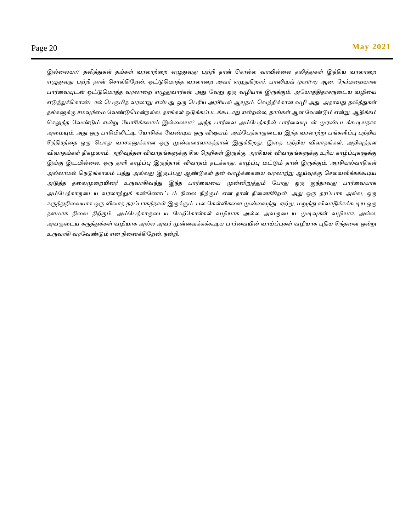*இல்தேயா? தலித்துகள் தங்கள் வரோற்தே எழுதுவது பற்றி நான் பசால்ே வரவில்தே தலித்துகள் இந்திய வரோதே எழுதுவது பற்றி நான் பசால்கிமேன். ஒட்டுபோத்த வரோதே அவர் எழுதுகிோர். பாஸிடிவ் (positive) ஆன, மநர்ேதேயான பார்தவயுடன் ஒட்டுபோத்த வரோதே எழுதுவார்கள். அது மவறு ஒரு வழியாக இருக்கும். அமயாத்திதாசருதடய வழிதய எடுத்துக்பகாண்டால் பபருமித வரோறு என்பது ஒரு பபரிய அரசியல் ஆயுதம். பவற்றிக்கான வழி அது. அதாவது தலித்துகள் தங்களுக்கு சேவுரிதே மவண்டுபேன்ேல்ே, தாங்கள் ஒடுக்கப்படக்கூடாது என்ேல்ே, தாங்கள் ஆள மவண்டும் என்று, ஆதிக்கம் பசலுத்த மவண்டும் என்று மயாசிக்கோம் இல்தேயா? அந்த பார்தவ அம்மபத்கரின் பார்தவயுடன் முரண்படக்கூடியதாக அதேயும். அது ஒரு பாசிபிலிட்டி. மயாசிக்க மவண்டிய ஒரு விஷயம். அம்மபத்காருதடய இந்த வரோற்று பங்களிப்பு பற்றிய சித்திரத்தத ஒரு பபாது வாசகனுக்கான ஒரு முன்வதரவாகத்தான் இருக்கிேது. இதத பற்றிய விவாதங்கள், அறிவுத்தள விவாதங்கள் நிகழோம். அறிவுத்தள விவாதங்களுக்கு சிே பநறிகள் இருக்கு. அரசியல் விவாதங்களுக்கு உரிய காழ்ப்புகளுக்கு இங்கு இடமில்தே. ஒரு துளி காழ்ப்பு இருந்தால் விவாதம் நடக்காது, காழ்ப்பு ேட்டும் தான் இருக்கும். அரசியல்வாதிகள் அல்ோேல் பநடுங்காேம் பத்து அல்ேது இருப்பது ஆண்டுகள் தன் வாழ்க்தகதய வரோற்று ஆய்வுக்கு பசேவளிக்கக்கூடிய அடுத்த ததேமுதேயினர் உருவாகிவந்து இந்த பார்தவதய முன்னிறுத்தும் மபாது ஒரு ஐந்தாவது பார்தவயாக அம்மபத்காருதடய வரோற்றுக் கண்மணாட்டம் நிதே நிற்கும் என நான் நிதனக்கிேன். அது ஒரு தரப்பாக அல்ே, ஒரு கருத்துநிதேயாக ஒரு விவாத தரப்பாகத்தான் இருக்கும். பே மகள்விகதள முன்தவத்து, ஏற்று, ேறுத்து விவாதிக்கக்கூடிய ஒரு தளோக நிதே நிற்கும். அம்மபத்காருதடய மேற்மகாள்கள் வழியாக அல்ே அவருதடய முடிவுகள் வழியாக அல்ே. அவருதடய கருத்துக்கள் வழியாக அல்ே அவர் முன்தவக்கக்கூடிய பார்தவயின் வாய்ப்புகள் வழியாக புதிய சிந்ததன ஒன்று உருவாகி வரமவண்டும் என நிதனக்கிமேன். நன்றி.*